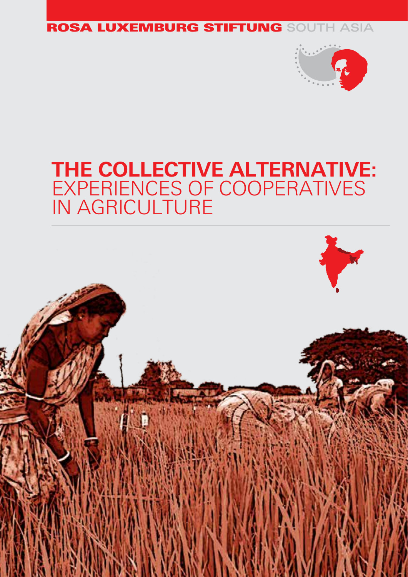### ROSA LUXEMBURG STIFTUNG SOUTH ASIA



# **THE COLLECTIVE ALTERNATIVE:** EXPERIENCES OF COOPERATIVES IN AGRICULTURE

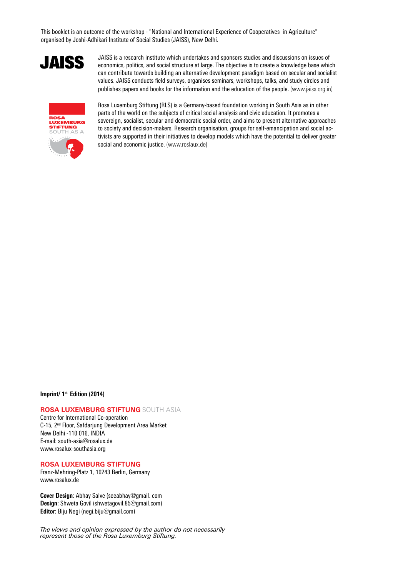This booklet is an outcome of the workshop - "National and International Experience of Cooperatives in Agriculture" organised by Joshi-Adhikari Institute of Social Studies (JAISS), New Delhi.

# JAISS

JAISS is a research institute which undertakes and sponsors studies and discussions on issues of economics, politics, and social structure at large. The objective is to create a knowledge base which can contribute towards building an alternative development paradigm based on secular and socialist values. JAISS conducts field surveys, organises seminars, workshops, talks, and study circles and publishes papers and books for the information and the education of the people. (www.jaiss.org.in)



Rosa Luxemburg Stiftung (RLS) is a Germany-based foundation working in South Asia as in other parts of the world on the subjects of critical social analysis and civic education. It promotes a sovereign, socialist, secular and democratic social order, and aims to present alternative approaches to society and decision-makers. Research organisation, groups for self-emancipation and social activists are supported in their initiatives to develop models which have the potential to deliver greater social and economic justice. (www.roslaux.de)

#### **Imprint/ 1st Edition (2014)**

#### **ROSA LUXEMBURG STIFTUNG** SOUTH ASIA

Centre for International Co-operation C-15, 2nd Floor, Safdarjung Development Area Market New Delhi -110 016, INDIA E-mail: south-asia@rosalux.de www.rosalux-southasia.org

#### **ROSA LUXEMBURG STIFTUNG**

Franz-Mehring-Platz 1, 10243 Berlin, Germany www.rosalux.de

**Cover Design**: Abhay Salve (seeabhay@gmail. com **Design:** Shweta Govil (shwetagovil.85@gmail.com) **Editor:** Biju Negi (negi.biju@gmail.com)

*The views and opinion expressed by the author do not necessarily represent those of the Rosa Luxemburg Stiftung.*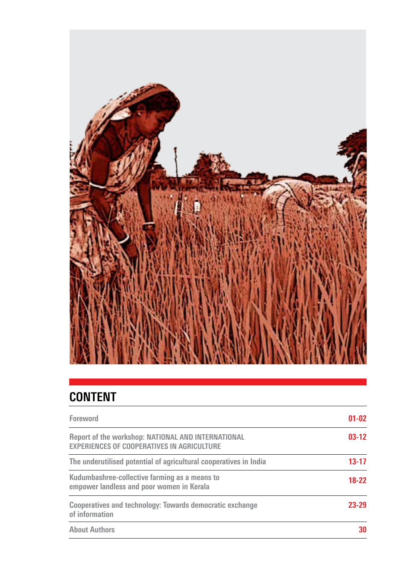

# **Content**

| <b>Foreword</b>                                                                                         | $01 - 02$ |
|---------------------------------------------------------------------------------------------------------|-----------|
| Report of the workshop: NATIONAL AND INTERNATIONAL<br><b>EXPERIENCES OF COOPERATIVES IN AGRICULTURE</b> | $03-12$   |
| The underutilised potential of agricultural cooperatives in India                                       | $13 - 17$ |
| Kudumbashree-collective farming as a means to<br>empower landless and poor women in Kerala              | $18-22$   |
| Cooperatives and technology: Towards democratic exchange<br>of information                              | $23 - 29$ |
| <b>About Authors</b>                                                                                    | 30        |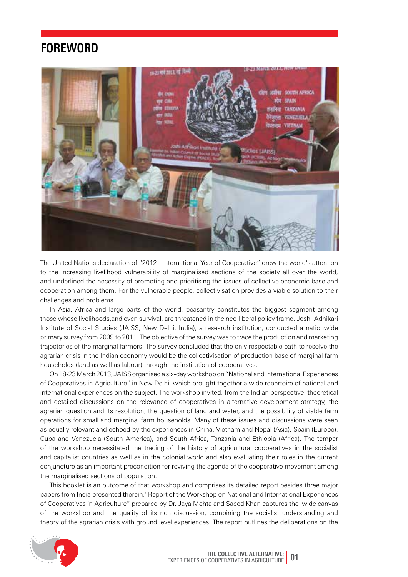### **Foreword**



The United Nations'declaration of "2012 - International Year of Cooperative" drew the world's attention to the increasing livelihood vulnerability of marginalised sections of the society all over the world, and underlined the necessity of promoting and prioritising the issues of collective economic base and cooperation among them. For the vulnerable people, collectivisation provides a viable solution to their challenges and problems.

In Asia, Africa and large parts of the world, peasantry constitutes the biggest segment among those whose livelihoods,and even survival, are threatened in the neo-liberal policy frame. Joshi-Adhikari Institute of Social Studies (JAISS, New Delhi, India), a research institution, conducted a nationwide primary survey from 2009 to 2011. The objective of the survey was to trace the production and marketing trajectories of the marginal farmers. The survey concluded that the only respectable path to resolve the agrarian crisis in the Indian economy would be the collectivisation of production base of marginal farm households (land as well as labour) through the institution of cooperatives.

On 18-23 March 2013, JAISS organised a six-day workshop on "National and International Experiences of Cooperatives in Agriculture" in New Delhi, which brought together a wide repertoire of national and international experiences on the subject. The workshop invited, from the Indian perspective, theoretical and detailed discussions on the relevance of cooperatives in alternative development strategy, the agrarian question and its resolution, the question of land and water, and the possibility of viable farm operations for small and marginal farm households. Many of these issues and discussions were seen as equally relevant and echoed by the experiences in China, Vietnam and Nepal (Asia), Spain (Europe), Cuba and Venezuela (South America), and South Africa, Tanzania and Ethiopia (Africa). The temper of the workshop necessitated the tracing of the history of agricultural cooperatives in the socialist and capitalist countries as well as in the colonial world and also evaluating their roles in the current conjuncture as an important precondition for reviving the agenda of the cooperative movement among the marginalised sections of population.

This booklet is an outcome of that workshop and comprises its detailed report besides three major papers from India presented therein."Report of the Workshop on National and International Experiences of Cooperatives in Agriculture" prepared by Dr. Jaya Mehta and Saeed Khan captures the wide canvas of the workshop and the quality of its rich discussion, combining the socialist understanding and theory of the agrarian crisis with ground level experiences. The report outlines the deliberations on the

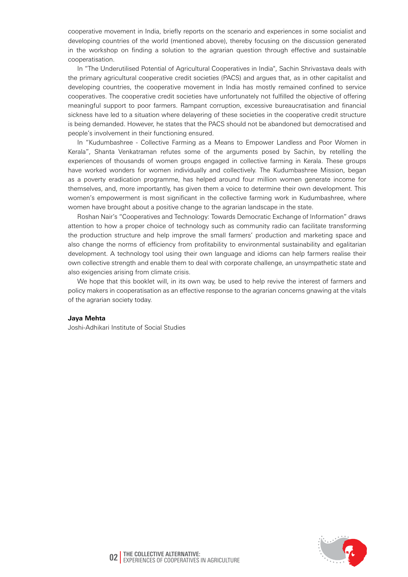cooperative movement in India, briefly reports on the scenario and experiences in some socialist and developing countries of the world (mentioned above), thereby focusing on the discussion generated in the workshop on finding a solution to the agrarian question through effective and sustainable cooperatisation.

In "The Underutilised Potential of Agricultural Cooperatives in India", Sachin Shrivastava deals with the primary agricultural cooperative credit societies (PACS) and argues that, as in other capitalist and developing countries, the cooperative movement in India has mostly remained confined to service cooperatives. The cooperative credit societies have unfortunately not fulfilled the objective of offering meaningful support to poor farmers. Rampant corruption, excessive bureaucratisation and financial sickness have led to a situation where delayering of these societies in the cooperative credit structure is being demanded. However, he states that the PACS should not be abandoned but democratised and people's involvement in their functioning ensured.

In "Kudumbashree - Collective Farming as a Means to Empower Landless and Poor Women in Kerala", Shanta Venkatraman refutes some of the arguments posed by Sachin, by retelling the experiences of thousands of women groups engaged in collective farming in Kerala. These groups have worked wonders for women individually and collectively. The Kudumbashree Mission, began as a poverty eradication programme, has helped around four million women generate income for themselves, and, more importantly, has given them a voice to determine their own development. This women's empowerment is most significant in the collective farming work in Kudumbashree, where women have brought about a positive change to the agrarian landscape in the state.

Roshan Nair's "Cooperatives and Technology: Towards Democratic Exchange of Information" draws attention to how a proper choice of technology such as community radio can facilitate transforming the production structure and help improve the small farmers' production and marketing space and also change the norms of efficiency from profitability to environmental sustainability and egalitarian development. A technology tool using their own language and idioms can help farmers realise their own collective strength and enable them to deal with corporate challenge, an unsympathetic state and also exigencies arising from climate crisis.

We hope that this booklet will, in its own way, be used to help revive the interest of farmers and policy makers in cooperatisation as an effective response to the agrarian concerns gnawing at the vitals of the agrarian society today.

#### **Jaya Mehta**

Joshi-Adhikari Institute of Social Studies

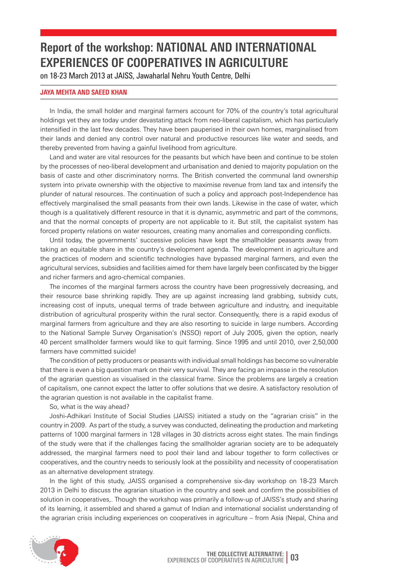# **Report of the workshop: National and International Experiences of Cooperatives in Agriculture**

on 18-23 March 2013 at JAISS, Jawaharlal Nehru Youth Centre, Delhi

#### **Jaya Mehta and Saeed Khan**

In India, the small holder and marginal farmers account for 70% of the country's total agricultural holdings yet they are today under devastating attack from neo-liberal capitalism, which has particularly intensified in the last few decades. They have been pauperised in their own homes, marginalised from their lands and denied any control over natural and productive resources like water and seeds, and thereby prevented from having a gainful livelihood from agriculture.

Land and water are vital resources for the peasants but which have been and continue to be stolen by the processes of neo-liberal development and urbanisation and denied to majority population on the basis of caste and other discriminatory norms. The British converted the communal land ownership system into private ownership with the objective to maximise revenue from land tax and intensify the plunder of natural resources. The continuation of such a policy and approach post-Independence has effectively marginalised the small peasants from their own lands. Likewise in the case of water, which though is a qualitatively different resource in that it is dynamic, asymmetric and part of the commons, and that the normal concepts of property are not applicable to it. But still, the capitalist system has forced property relations on water resources, creating many anomalies and corresponding conflicts.

Until today, the governments' successive policies have kept the smallholder peasants away from taking an equitable share in the country's development agenda. The development in agriculture and the practices of modern and scientific technologies have bypassed marginal farmers, and even the agricultural services, subsidies and facilities aimed for them have largely been confiscated by the bigger and richer farmers and agro-chemical companies.

The incomes of the marginal farmers across the country have been progressively decreasing, and their resource base shrinking rapidly. They are up against increasing land grabbing, subsidy cuts, increasing cost of inputs, unequal terms of trade between agriculture and industry, and inequitable distribution of agricultural prosperity within the rural sector. Consequently, there is a rapid exodus of marginal farmers from agriculture and they are also resorting to suicide in large numbers. According to the National Sample Survey Organisation's (NSSO) report of July 2005, given the option, nearly 40 percent smallholder farmers would like to quit farming. Since 1995 and until 2010, over 2,50,000 farmers have committed suicide!

The condition of petty producers or peasants with individual small holdings has become so vulnerable that there is even a big question mark on their very survival. They are facing an impasse in the resolution of the agrarian question as visualised in the classical frame. Since the problems are largely a creation of capitalism, one cannot expect the latter to offer solutions that we desire. A satisfactory resolution of the agrarian question is not available in the capitalist frame.

So, what is the way ahead?

Joshi-Adhikari Institute of Social Studies (JAISS) initiated a study on the "agrarian crisis" in the country in 2009. As part of the study, a survey was conducted, delineating the production and marketing patterns of 1000 marginal farmers in 128 villages in 30 districts across eight states. The main findings of the study were that if the challenges facing the smallholder agrarian society are to be adequately addressed, the marginal farmers need to pool their land and labour together to form collectives or cooperatives, and the country needs to seriously look at the possibility and necessity of cooperatisation as an alternative development strategy.

In the light of this study, JAISS organised a comprehensive six-day workshop on 18-23 March 2013 in Delhi to discuss the agrarian situation in the country and seek and confirm the possibilities of solution in cooperatives.. Though the workshop was primarily a follow-up of JAISS's study and sharing of its learning, it assembled and shared a gamut of Indian and international socialist understanding of the agrarian crisis including experiences on cooperatives in agriculture – from Asia (Nepal, China and

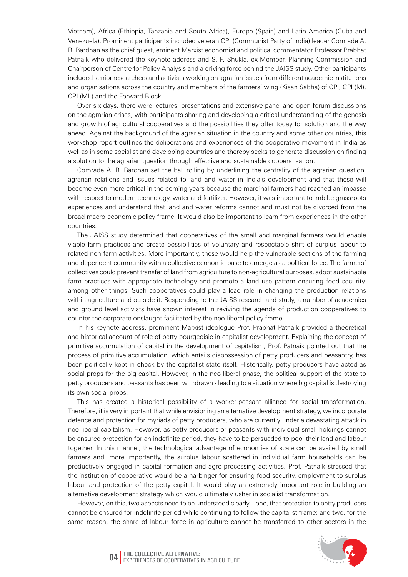Vietnam), Africa (Ethiopia, Tanzania and South Africa), Europe (Spain) and Latin America (Cuba and Venezuela). Prominent participants included veteran CPI (Communist Party of India) leader Comrade A. B. Bardhan as the chief guest, eminent Marxist economist and political commentator Professor Prabhat Patnaik who delivered the keynote address and S. P. Shukla, ex-Member, Planning Commission and Chairperson of Centre for Policy Analysis and a driving force behind the JAISS study. Other participants included senior researchers and activists working on agrarian issues from different academic institutions and organisations across the country and members of the farmers' wing (Kisan Sabha) of CPI, CPI (M), CPI (ML) and the Forward Block.

Over six-days, there were lectures, presentations and extensive panel and open forum discussions on the agrarian crises, with participants sharing and developing a critical understanding of the genesis and growth of agricultural cooperatives and the possibilities they offer today for solution and the way ahead. Against the background of the agrarian situation in the country and some other countries, this workshop report outlines the deliberations and experiences of the cooperative movement in India as well as in some socialist and developing countries and thereby seeks to generate discussion on finding a solution to the agrarian question through effective and sustainable cooperatisation.

Comrade A. B. Bardhan set the ball rolling by underlining the centrality of the agrarian question, agrarian relations and issues related to land and water in India's development and that these will become even more critical in the coming years because the marginal farmers had reached an impasse with respect to modern technology, water and fertilizer. However, it was important to imbibe grassroots experiences and understand that land and water reforms cannot and must not be divorced from the broad macro-economic policy frame. It would also be important to learn from experiences in the other countries.

The JAISS study determined that cooperatives of the small and marginal farmers would enable viable farm practices and create possibilities of voluntary and respectable shift of surplus labour to related non-farm activities. More importantly, these would help the vulnerable sections of the farming and dependent community with a collective economic base to emerge as a political force. The farmers' collectives could prevent transfer of land from agriculture to non-agricultural purposes, adopt sustainable farm practices with appropriate technology and promote a land use pattern ensuring food security, among other things. Such cooperatives could play a lead role in changing the production relations within agriculture and outside it. Responding to the JAISS research and study, a number of academics and ground level activists have shown interest in reviving the agenda of production cooperatives to counter the corporate onslaught facilitated by the neo-liberal policy frame.

In his keynote address, prominent Marxist ideologue Prof. Prabhat Patnaik provided a theoretical and historical account of role of petty bourgeoisie in capitalist development. Explaining the concept of primitive accumulation of capital in the development of capitalism, Prof. Patnaik pointed out that the process of primitive accumulation, which entails dispossession of petty producers and peasantry, has been politically kept in check by the capitalist state itself. Historically, petty producers have acted as social props for the big capital. However, in the neo-liberal phase, the political support of the state to petty producers and peasants has been withdrawn - leading to a situation where big capital is destroying its own social props.

This has created a historical possibility of a worker-peasant alliance for social transformation. Therefore, it is very important that while envisioning an alternative development strategy, we incorporate defence and protection for myriads of petty producers, who are currently under a devastating attack in neo-liberal capitalism. However, as petty producers or peasants with individual small holdings cannot be ensured protection for an indefinite period, they have to be persuaded to pool their land and labour together. In this manner, the technological advantage of economies of scale can be availed by small farmers and, more importantly, the surplus labour scattered in individual farm households can be productively engaged in capital formation and agro-processing activities. Prof. Patnaik stressed that the institution of cooperative would be a harbinger for ensuring food security, employment to surplus labour and protection of the petty capital. It would play an extremely important role in building an alternative development strategy which would ultimately usher in socialist transformation.

However, on this, two aspects need to be understood clearly – one, that protection to petty producers cannot be ensured for indefinite period while continuing to follow the capitalist frame; and two, for the same reason, the share of labour force in agriculture cannot be transferred to other sectors in the

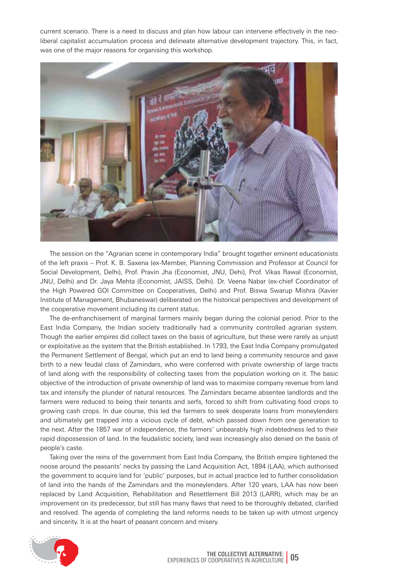current scenario. There is a need to discuss and plan how labour can intervene effectively in the neoliberal capitalist accumulation process and delineate alternative development trajectory. This, in fact, was one of the major reasons for organising this workshop.



The session on the "Agrarian scene in contemporary India" brought together eminent educationists of the left praxis – Prof. K. B. Saxena (ex-Member, Planning Commission and Professor at Council for Social Development, Delhi), Prof. Pravin Jha (Economist, JNU, Dehi), Prof. Vikas Rawal (Economist, JNU, Delhi) and Dr. Jaya Mehta (Economist, JAISS, Delhi). Dr. Veena Nabar (ex-chief Coordinator of the High Powered GOI Committee on Cooperatives, Delhi) and Prof. Biswa Swarup Mishra (Xavier Institute of Management, Bhubaneswar) deliberated on the historical perspectives and development of the cooperative movement including its current status.

The de-enfranchisement of marginal farmers mainly began during the colonial period. Prior to the East India Company, the Indian society traditionally had a community controlled agrarian system. Though the earlier empires did collect taxes on the basis of agriculture, but these were rarely as unjust or exploitative as the system that the British established. In 1793, the East India Company promulgated the Permanent Settlement of Bengal, which put an end to land being a community resource and gave birth to a new feudal class of Zamindars, who were conferred with private ownership of large tracts of land along with the responsibility of collecting taxes from the population working on it. The basic objective of the introduction of private ownership of land was to maximise company revenue from land tax and intensify the plunder of natural resources. The Zamindars became absentee landlords and the farmers were reduced to being their tenants and serfs, forced to shift from cultivating food crops to growing cash crops. In due course, this led the farmers to seek desperate loans from moneylenders and ultimately get trapped into a vicious cycle of debt, which passed down from one generation to the next. After the 1857 war of independence, the farmers' unbearably high indebtedness led to their rapid dispossession of land. In the feudalistic society, land was increasingly also denied on the basis of people's caste.

Taking over the reins of the government from East India Company, the British empire tightened the noose around the peasants' necks by passing the Land Acquisition Act, 1894 (LAA), which authorised the government to acquire land for 'public' purposes, but in actual practice led to further consolidation of land into the hands of the Zamindars and the moneylenders. After 120 years, LAA has now been replaced by Land Acquisition, Rehabilitation and Resettlement Bill 2013 (LARR), which may be an improvement on its predecessor, but still has many flaws that need to be thoroughly debated, clarified and resolved. The agenda of completing the land reforms needs to be taken up with utmost urgency and sincerity. It is at the heart of peasant concern and misery.

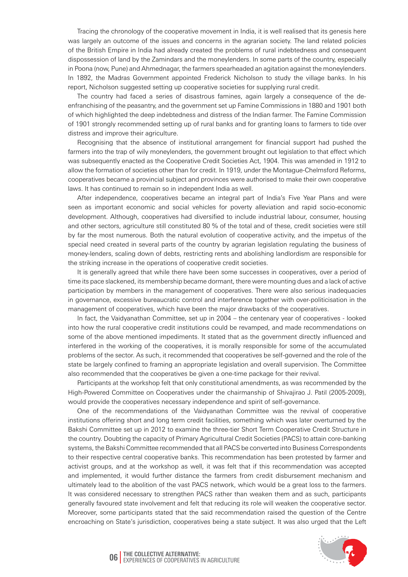Tracing the chronology of the cooperative movement in India, it is well realised that its genesis here was largely an outcome of the issues and concerns in the agrarian society. The land related policies of the British Empire in India had already created the problems of rural indebtedness and consequent dispossession of land by the Zamindars and the moneylenders. In some parts of the country, especially in Poona (now, Pune) and Ahmednagar, the farmers spearheaded an agitation against the moneylenders. In 1892, the Madras Government appointed Frederick Nicholson to study the village banks. In his report, Nicholson suggested setting up cooperative societies for supplying rural credit.

The country had faced a series of disastrous famines, again largely a consequence of the deenfranchising of the peasantry, and the government set up Famine Commissions in 1880 and 1901 both of which highlighted the deep indebtedness and distress of the Indian farmer. The Famine Commission of 1901 strongly recommended setting up of rural banks and for granting loans to farmers to tide over distress and improve their agriculture.

Recognising that the absence of institutional arrangement for financial support had pushed the farmers into the trap of wily moneylenders, the government brought out legislation to that effect which was subsequently enacted as the Cooperative Credit Societies Act, 1904. This was amended in 1912 to allow the formation of societies other than for credit. In 1919, under the Montague-Chelmsford Reforms, cooperatives became a provincial subject and provinces were authorised to make their own cooperative laws. It has continued to remain so in independent India as well.

After independence, cooperatives became an integral part of India's Five Year Plans and were seen as important economic and social vehicles for poverty alleviation and rapid socio-economic development. Although, cooperatives had diversified to include industrial labour, consumer, housing and other sectors, agriculture still constituted 80 % of the total and of these, credit societies were still by far the most numerous. Both the natural evolution of cooperative activity, and the impetus of the special need created in several parts of the country by agrarian legislation regulating the business of money-lenders, scaling down of debts, restricting rents and abolishing landlordism are responsible for the striking increase in the operations of cooperative credit societies.

It is generally agreed that while there have been some successes in cooperatives, over a period of time its pace slackened, its membership became dormant, there were mounting dues and a lack of active participation by members in the management of cooperatives. There were also serious inadequacies in governance, excessive bureaucratic control and interference together with over-politicisation in the management of cooperatives, which have been the major drawbacks of the cooperatives.

In fact, the Vaidyanathan Committee, set up in 2004 – the centenary year of cooperatives - looked into how the rural cooperative credit institutions could be revamped, and made recommendations on some of the above mentioned impediments. It stated that as the government directly influenced and interfered in the working of the cooperatives, it is morally responsible for some of the accumulated problems of the sector. As such, it recommended that cooperatives be self-governed and the role of the state be largely confined to framing an appropriate legislation and overall supervision. The Committee also recommended that the cooperatives be given a one-time package for their revival.

Participants at the workshop felt that only constitutional amendments, as was recommended by the High-Powered Committee on Cooperatives under the chairmanship of Shivajirao J. Patil (2005-2009), would provide the cooperatives necessary independence and spirit of self-governance.

One of the recommendations of the Vaidyanathan Committee was the revival of cooperative institutions offering short and long term credit facilities, something which was later overturned by the Bakshi Committee set up in 2012 to examine the three-tier Short Term Cooperative Credit Structure in the country. Doubting the capacity of Primary Agricultural Credit Societies (PACS) to attain core-banking systems, the Bakshi Committee recommended that all PACS be converted into Business Correspondents to their respective central cooperative banks. This recommendation has been protested by farmer and activist groups, and at the workshop as well, it was felt that if this recommendation was accepted and implemented, it would further distance the farmers from credit disbursement mechanism and ultimately lead to the abolition of the vast PACS network, which would be a great loss to the farmers. It was considered necessary to strengthen PACS rather than weaken them and as such, participants generally favoured state involvement and felt that reducing its role will weaken the cooperative sector. Moreover, some participants stated that the said recommendation raised the question of the Centre encroaching on State's jurisdiction, cooperatives being a state subject. It was also urged that the Left



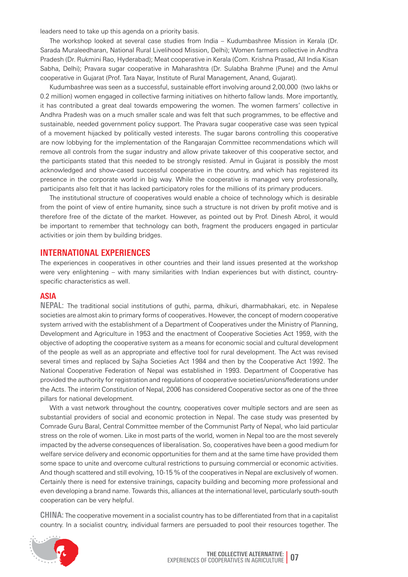leaders need to take up this agenda on a priority basis.

The workshop looked at several case studies from India – Kudumbashree Mission in Kerala (Dr. Sarada Muraleedharan, National Rural Livelihood Mission, Delhi); Women farmers collective in Andhra Pradesh (Dr. Rukmini Rao, Hyderabad); Meat cooperative in Kerala (Com. Krishna Prasad, All India Kisan Sabha, Delhi); Pravara sugar cooperative in Maharashtra (Dr. Sulabha Brahme (Pune) and the Amul cooperative in Gujarat (Prof. Tara Nayar, Institute of Rural Management, Anand, Gujarat).

Kudumbashree was seen as a successful, sustainable effort involving around 2,00,000 (two lakhs or 0.2 million) women engaged in collective farming initiatives on hitherto fallow lands. More importantly, it has contributed a great deal towards empowering the women. The women farmers' collective in Andhra Pradesh was on a much smaller scale and was felt that such programmes, to be effective and sustainable, needed government policy support. The Pravara sugar cooperative case was seen typical of a movement hijacked by politically vested interests. The sugar barons controlling this cooperative are now lobbying for the implementation of the Rangarajan Committee recommendations which will remove all controls from the sugar industry and allow private takeover of this cooperative sector, and the participants stated that this needed to be strongly resisted. Amul in Gujarat is possibly the most acknowledged and show-cased successful cooperative in the country, and which has registered its presence in the corporate world in big way. While the cooperative is managed very professionally, participants also felt that it has lacked participatory roles for the millions of its primary producers.

The institutional structure of cooperatives would enable a choice of technology which is desirable from the point of view of entire humanity, since such a structure is not driven by profit motive and is therefore free of the dictate of the market. However, as pointed out by Prof. Dinesh Abrol, it would be important to remember that technology can both, fragment the producers engaged in particular activities or join them by building bridges.

#### **International experiences**

The experiences in cooperatives in other countries and their land issues presented at the workshop were very enlightening – with many similarities with Indian experiences but with distinct, countryspecific characteristics as well.

#### **Asia**

**Nepal:** The traditional social institutions of guthi, parma, dhikuri, dharmabhakari, etc. in Nepalese societies are almost akin to primary forms of cooperatives. However, the concept of modern cooperative system arrived with the establishment of a Department of Cooperatives under the Ministry of Planning, Development and Agriculture in 1953 and the enactment of Cooperative Societies Act 1959, with the objective of adopting the cooperative system as a means for economic social and cultural development of the people as well as an appropriate and effective tool for rural development. The Act was revised several times and replaced by Sajha Societies Act 1984 and then by the Cooperative Act 1992. The National Cooperative Federation of Nepal was established in 1993. Department of Cooperative has provided the authority for registration and regulations of cooperative societies/unions/federations under the Acts. The interim Constitution of Nepal, 2006 has considered Cooperative sector as one of the three pillars for national development.

With a vast network throughout the country, cooperatives cover multiple sectors and are seen as substantial providers of social and economic protection in Nepal. The case study was presented by Comrade Guru Baral, Central Committee member of the Communist Party of Nepal, who laid particular stress on the role of women. Like in most parts of the world, women in Nepal too are the most severely impacted by the adverse consequences of liberalisation. So, cooperatives have been a good medium for welfare service delivery and economic opportunities for them and at the same time have provided them some space to unite and overcome cultural restrictions to pursuing commercial or economic activities. And though scattered and still evolving, 10-15 % of the cooperatives in Nepal are exclusively of women. Certainly there is need for extensive trainings, capacity building and becoming more professional and even developing a brand name. Towards this, alliances at the international level, particularly south-south cooperation can be very helpful.

**China:** The cooperative movement in a socialist country has to be differentiated from that in a capitalist country. In a socialist country, individual farmers are persuaded to pool their resources together. The

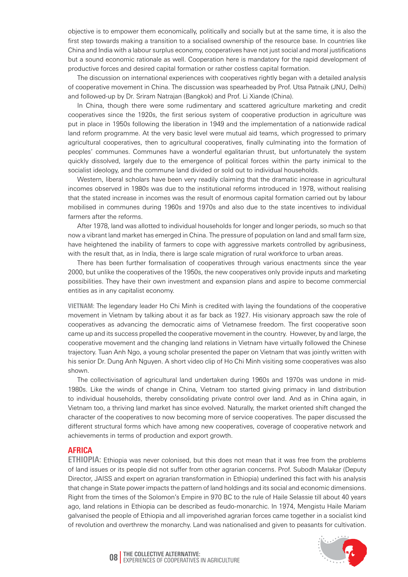objective is to empower them economically, politically and socially but at the same time, it is also the first step towards making a transition to a socialised ownership of the resource base. In countries like China and India with a labour surplus economy, cooperatives have not just social and moral justifications but a sound economic rationale as well. Cooperation here is mandatory for the rapid development of productive forces and desired capital formation or rather costless capital formation.

The discussion on international experiences with cooperatives rightly began with a detailed analysis of cooperative movement in China. The discussion was spearheaded by Prof. Utsa Patnaik (JNU, Delhi) and followed-up by Dr. Sriram Natrajan (Bangkok) and Prof. Li Xiande (China).

In China, though there were some rudimentary and scattered agriculture marketing and credit cooperatives since the 1920s, the first serious system of cooperative production in agriculture was put in place in 1950s following the liberation in 1949 and the implementation of a nationwide radical land reform programme. At the very basic level were mutual aid teams, which progressed to primary agricultural cooperatives, then to agricultural cooperatives, finally culminating into the formation of peoples' communes. Communes have a wonderful egalitarian thrust, but unfortunately the system quickly dissolved, largely due to the emergence of political forces within the party inimical to the socialist ideology, and the commune land divided or sold out to individual households.

Western, liberal scholars have been very readily claiming that the dramatic increase in agricultural incomes observed in 1980s was due to the institutional reforms introduced in 1978, without realising that the stated increase in incomes was the result of enormous capital formation carried out by labour mobilised in communes during 1960s and 1970s and also due to the state incentives to individual farmers after the reforms.

After 1978, land was allotted to individual households for longer and longer periods, so much so that now a vibrant land market has emerged in China. The pressure of population on land and small farm size, have heightened the inability of farmers to cope with aggressive markets controlled by agribusiness, with the result that, as in India, there is large scale migration of rural workforce to urban areas.

There has been further formalisation of cooperatives through various enactments since the year 2000, but unlike the cooperatives of the 1950s, the new cooperatives only provide inputs and marketing possibilities. They have their own investment and expansion plans and aspire to become commercial entities as in any capitalist economy.

**Vietnam:** The legendary leader Ho Chi Minh is credited with laying the foundations of the cooperative movement in Vietnam by talking about it as far back as 1927. His visionary approach saw the role of cooperatives as advancing the democratic aims of Vietnamese freedom. The first cooperative soon came up and its success propelled the cooperative movement in the country. However, by and large, the cooperative movement and the changing land relations in Vietnam have virtually followed the Chinese trajectory. Tuan Anh Ngo, a young scholar presented the paper on Vietnam that was jointly written with his senior Dr. Dung Anh Nguyen. A short video clip of Ho Chi Minh visiting some cooperatives was also shown.

The collectivisation of agricultural land undertaken during 1960s and 1970s was undone in mid-1980s. Like the winds of change in China, Vietnam too started giving primacy in land distribution to individual households, thereby consolidating private control over land. And as in China again, in Vietnam too, a thriving land market has since evolved. Naturally, the market oriented shift changed the character of the cooperatives to now becoming more of service cooperatives. The paper discussed the different structural forms which have among new cooperatives, coverage of cooperative network and achievements in terms of production and export growth.

#### **Africa**

**ETHIOPIA:** Ethiopia was never colonised, but this does not mean that it was free from the problems of land issues or its people did not suffer from other agrarian concerns. Prof. Subodh Malakar (Deputy Director, JAISS and expert on agrarian transformation in Ethiopia) underlined this fact with his analysis that change in State power impacts the pattern of land holdings and its social and economic dimensions. Right from the times of the Solomon's Empire in 970 BC to the rule of Haile Selassie till about 40 years ago, land relations in Ethiopia can be described as feudo-monarchic. In 1974, Mengistu Haile Mariam galvanised the people of Ethiopia and all impoverished agrarian forces came together in a socialist kind of revolution and overthrew the monarchy. Land was nationalised and given to peasants for cultivation.



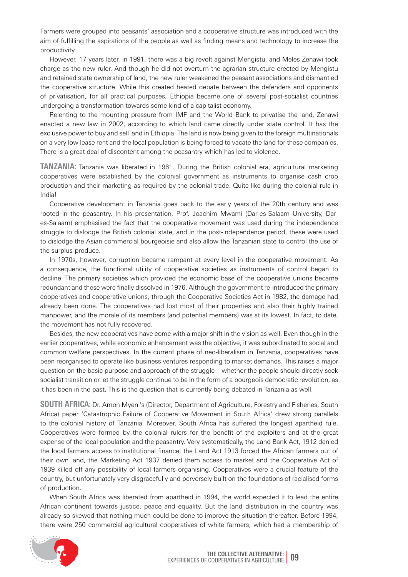Farmers were grouped into peasants' association and a cooperative structure was introduced with the aim of fulfilling the aspirations of the people as well as finding means and technology to increase the productivity.

However, 17 years later, in 1991, there was a big revolt against Mengistu, and Meles Zenawi took charge as the new ruler. And though he did not overturn the agrarian structure erected by Mengistu and retained state ownership of land, the new ruler weakened the peasant associations and dismantled the cooperative structure. While this created heated debate between the defenders and opponents of privatisation, for all practical purposes, Ethiopia became one of several post-socialist countries undergoing a transformation towards some kind of a capitalist economy.

Relenting to the mounting pressure from IMF and the World Bank to privatise the land, Zenawi enacted a new law in 2002, according to which land came directly under state control. It has the exclusive power to buy and sell land in Ethiopia. The land is now being given to the foreign multinationals on a very low lease rent and the local population is being forced to vacate the land for these companies. There is a great deal of discontent among the peasantry which has led to violence.

**Tanzania:** Tanzania was liberated in 1961. During the British colonial era, agricultural marketing cooperatives were established by the colonial government as instruments to organise cash crop production and their marketing as required by the colonial trade. Quite like during the colonial rule in India!

Cooperative development in Tanzania goes back to the early years of the 20th century and was rooted in the peasantry. In his presentation, Prof. Joachim Mwami (Dar-es-Salaam University, Dares-Salaam) emphasised the fact that the cooperative movement was used during the independence struggle to dislodge the British colonial state, and in the post-independence period, these were used to dislodge the Asian commercial bourgeoisie and also allow the Tanzanian state to control the use of the surplus-produce.

In 1970s, however, corruption became rampant at every level in the cooperative movement. As a consequence, the functional utility of cooperative societies as instruments of control began to decline. The primary societies which provided the economic base of the cooperative unions became redundant and these were finally dissolved in 1976. Although the government re-introduced the primary cooperatives and cooperative unions, through the Cooperative Societies Act in 1982, the damage had already been done. The cooperatives had lost most of their properties and also their highly trained manpower, and the morale of its members (and potential members) was at its lowest. In fact, to date, the movement has not fully recovered.

Besides, the new cooperatives have come with a major shift in the vision as well. Even though in the earlier cooperatives, while economic enhancement was the objective, it was subordinated to social and common welfare perspectives. In the current phase of neo-liberalism in Tanzania, cooperatives have been reorganised to operate like business ventures responding to market demands. This raises a major question on the basic purpose and approach of the struggle – whether the people should directly seek socialist transition or let the struggle continue to be in the form of a bourgeois democratic revolution, as it has been in the past. This is the question that is currently being debated in Tanzania as well.

**South Africa:** Dr. Amon Myeni's (Director, Department of Agriculture, Forestry and Fisheries, South Africa) paper 'Catastrophic Failure of Cooperative Movement in South Africa' drew strong parallels to the colonial history of Tanzania. Moreover, South Africa has suffered the longest apartheid rule. Cooperatives were formed by the colonial rulers for the benefit of the exploiters and at the great expense of the local population and the peasantry. Very systematically, the Land Bank Act, 1912 denied the local farmers access to institutional finance, the Land Act 1913 forced the African farmers out of their own land, the Marketing Act 1937 denied them access to market and the Cooperative Act of 1939 killed off any possibility of local farmers organising. Cooperatives were a crucial feature of the country, but unfortunately very disgracefully and perversely built on the foundations of racialised forms of production.

When South Africa was liberated from apartheid in 1994, the world expected it to lead the entire African continent towards justice, peace and equality. But the land distribution in the country was already so skewed that nothing much could be done to improve the situation thereafter. Before 1994, there were 250 commercial agricultural cooperatives of white farmers, which had a membership of

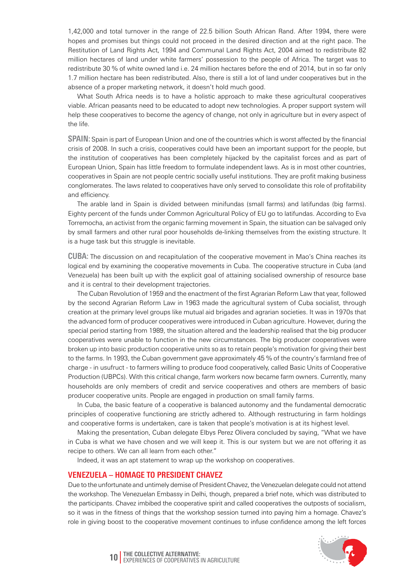1,42,000 and total turnover in the range of 22.5 billion South African Rand. After 1994, there were hopes and promises but things could not proceed in the desired direction and at the right pace. The Restitution of Land Rights Act, 1994 and Communal Land Rights Act, 2004 aimed to redistribute 82 million hectares of land under white farmers' possession to the people of Africa. The target was to redistribute 30 % of white owned land i.e. 24 million hectares before the end of 2014, but in so far only 1.7 million hectare has been redistributed. Also, there is still a lot of land under cooperatives but in the absence of a proper marketing network, it doesn't hold much good.

What South Africa needs is to have a holistic approach to make these agricultural cooperatives viable. African peasants need to be educated to adopt new technologies. A proper support system will help these cooperatives to become the agency of change, not only in agriculture but in every aspect of the life.

**Spain:** Spain is part of European Union and one of the countries which is worst affected by the financial crisis of 2008. In such a crisis, cooperatives could have been an important support for the people, but the institution of cooperatives has been completely hijacked by the capitalist forces and as part of European Union, Spain has little freedom to formulate independent laws. As is in most other countries, cooperatives in Spain are not people centric socially useful institutions. They are profit making business conglomerates. The laws related to cooperatives have only served to consolidate this role of profitability and efficiency.

The arable land in Spain is divided between minifundas (small farms) and latifundas (big farms). Eighty percent of the funds under Common Agricultural Policy of EU go to latifundas. According to Eva Torremocha, an activist from the organic farming movement in Spain, the situation can be salvaged only by small farmers and other rural poor households de-linking themselves from the existing structure. It is a huge task but this struggle is inevitable.

**CUBA:** The discussion on and recapitulation of the cooperative movement in Mao's China reaches its logical end by examining the cooperative movements in Cuba. The cooperative structure in Cuba (and Venezuela) has been built up with the explicit goal of attaining socialised ownership of resource base and it is central to their development trajectories.

The Cuban Revolution of 1959 and the enactment of the first Agrarian Reform Law that year, followed by the second Agrarian Reform Law in 1963 made the agricultural system of Cuba socialist, through creation at the primary level groups like mutual aid brigades and agrarian societies. It was in 1970s that the advanced form of producer cooperatives were introduced in Cuban agriculture. However, during the special period starting from 1989, the situation altered and the leadership realised that the big producer cooperatives were unable to function in the new circumstances. The big producer cooperatives were broken up into basic production cooperative units so as to retain people's motivation for giving their best to the farms. In 1993, the Cuban government gave approximately 45 % of the country's farmland free of charge - in usufruct - to farmers willing to produce food cooperatively, called Basic Units of Cooperative Production (UBPCs). With this critical change, farm workers now became farm owners. Currently, many households are only members of credit and service cooperatives and others are members of basic producer cooperative units. People are engaged in production on small family farms.

In Cuba, the basic feature of a cooperative is balanced autonomy and the fundamental democratic principles of cooperative functioning are strictly adhered to. Although restructuring in farm holdings and cooperative forms is undertaken, care is taken that people's motivation is at its highest level.

Making the presentation, Cuban delegate Elbys Perez Olivera concluded by saying, "What we have in Cuba is what we have chosen and we will keep it. This is our system but we are not offering it as recipe to others. We can all learn from each other."

Indeed, it was an apt statement to wrap up the workshop on cooperatives.

#### **Venezuela – Homage to President Chavez**

Due to the unfortunate and untimely demise of President Chavez, the Venezuelan delegate could not attend the workshop. The Venezuelan Embassy in Delhi, though, prepared a brief note, which was distributed to the participants. Chavez imbibed the cooperative spirit and called cooperatives the outposts of socialism, so it was in the fitness of things that the workshop session turned into paying him a homage. Chavez's role in giving boost to the cooperative movement continues to infuse confidence among the left forces

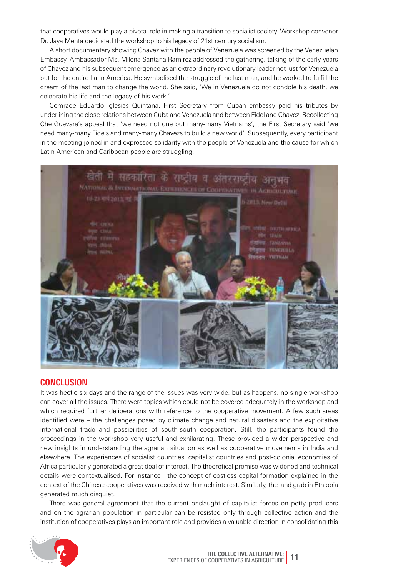that cooperatives would play a pivotal role in making a transition to socialist society. Workshop convenor Dr. Jaya Mehta dedicated the workshop to his legacy of 21st century socialism.

A short documentary showing Chavez with the people of Venezuela was screened by the Venezuelan Embassy. Ambassador Ms. Milena Santana Ramirez addressed the gathering, talking of the early years of Chavez and his subsequent emergence as an extraordinary revolutionary leader not just for Venezuela but for the entire Latin America. He symbolised the struggle of the last man, and he worked to fulfill the dream of the last man to change the world. She said, 'We in Venezuela do not condole his death, we celebrate his life and the legacy of his work.'

Comrade Eduardo Iglesias Quintana, First Secretary from Cuban embassy paid his tributes by underlining the close relations between Cuba and Venezuela and between Fidel and Chavez. Recollecting Che Guevara's appeal that 'we need not one but many-many Vietnams', the First Secretary said 'we need many-many Fidels and many-many Chavezs to build a new world'. Subsequently, every participant in the meeting joined in and expressed solidarity with the people of Venezuela and the cause for which Latin American and Caribbean people are struggling.



#### **CONCLUSION**

It was hectic six days and the range of the issues was very wide, but as happens, no single workshop can cover all the issues. There were topics which could not be covered adequately in the workshop and which required further deliberations with reference to the cooperative movement. A few such areas identified were – the challenges posed by climate change and natural disasters and the exploitative international trade and possibilities of south-south cooperation. Still, the participants found the proceedings in the workshop very useful and exhilarating. These provided a wider perspective and new insights in understanding the agrarian situation as well as cooperative movements in India and elsewhere. The experiences of socialist countries, capitalist countries and post-colonial economies of Africa particularly generated a great deal of interest. The theoretical premise was widened and technical details were contextualised. For instance - the concept of costless capital formation explained in the context of the Chinese cooperatives was received with much interest. Similarly, the land grab in Ethiopia generated much disquiet.

There was general agreement that the current onslaught of capitalist forces on petty producers and on the agrarian population in particular can be resisted only through collective action and the institution of cooperatives plays an important role and provides a valuable direction in consolidating this

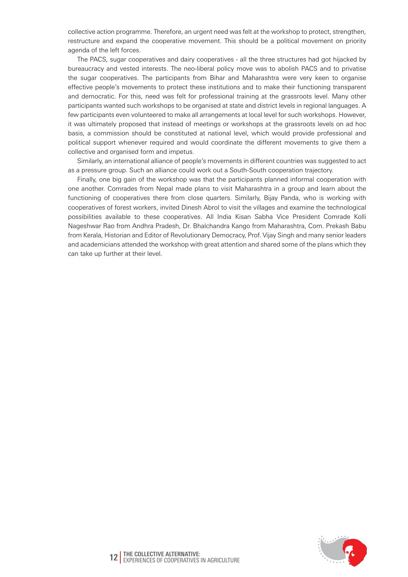collective action programme. Therefore, an urgent need was felt at the workshop to protect, strengthen, restructure and expand the cooperative movement. This should be a political movement on priority agenda of the left forces.

The PACS, sugar cooperatives and dairy cooperatives - all the three structures had got hijacked by bureaucracy and vested interests. The neo-liberal policy move was to abolish PACS and to privatise the sugar cooperatives. The participants from Bihar and Maharashtra were very keen to organise effective people's movements to protect these institutions and to make their functioning transparent and democratic. For this, need was felt for professional training at the grassroots level. Many other participants wanted such workshops to be organised at state and district levels in regional languages. A few participants even volunteered to make all arrangements at local level for such workshops. However, it was ultimately proposed that instead of meetings or workshops at the grassroots levels on ad hoc basis, a commission should be constituted at national level, which would provide professional and political support whenever required and would coordinate the different movements to give them a collective and organised form and impetus.

Similarly, an international alliance of people's movements in different countries was suggested to act as a pressure group. Such an alliance could work out a South-South cooperation trajectory.

Finally, one big gain of the workshop was that the participants planned informal cooperation with one another. Comrades from Nepal made plans to visit Maharashtra in a group and learn about the functioning of cooperatives there from close quarters. Similarly, Bijay Panda, who is working with cooperatives of forest workers, invited Dinesh Abrol to visit the villages and examine the technological possibilities available to these cooperatives. All India Kisan Sabha Vice President Comrade Kolli Nageshwar Rao from Andhra Pradesh, Dr. Bhalchandra Kango from Maharashtra, Com. Prekash Babu from Kerala, Historian and Editor of Revolutionary Democracy, Prof. Vijay Singh and many senior leaders and academicians attended the workshop with great attention and shared some of the plans which they can take up further at their level.

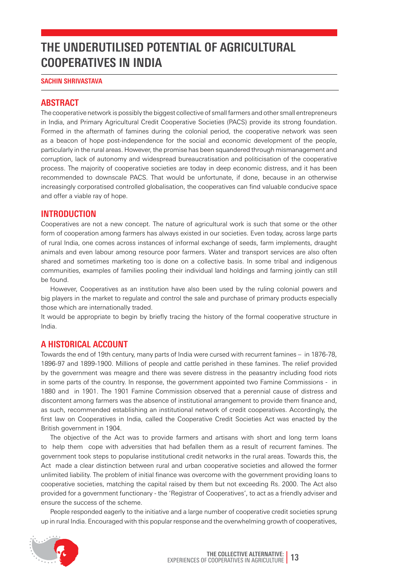# **The UnderutiliSed Potential of Agricultural Cooperatives in India**

#### **Sachin Shrivastava**

#### **Abstract**

The cooperative network is possibly the biggest collective of small farmers and other small entrepreneurs in India, and Primary Agricultural Credit Cooperative Societies (PACS) provide its strong foundation. Formed in the aftermath of famines during the colonial period, the cooperative network was seen as a beacon of hope post-independence for the social and economic development of the people, particularly in the rural areas. However, the promise has been squandered through mismanagement and corruption, lack of autonomy and widespread bureaucratisation and politicisation of the cooperative process. The majority of cooperative societies are today in deep economic distress, and it has been recommended to downscale PACS. That would be unfortunate, if done, because in an otherwise increasingly corporatised controlled globalisation, the cooperatives can find valuable conducive space and offer a viable ray of hope.

#### **Introduction**

Cooperatives are not a new concept. The nature of agricultural work is such that some or the other form of cooperation among farmers has always existed in our societies. Even today, across large parts of rural India, one comes across instances of informal exchange of seeds, farm implements, draught animals and even labour among resource poor farmers. Water and transport services are also often shared and sometimes marketing too is done on a collective basis. In some tribal and indigenous communities, examples of families pooling their individual land holdings and farming jointly can still be found.

However, Cooperatives as an institution have also been used by the ruling colonial powers and big players in the market to regulate and control the sale and purchase of primary products especially those which are internationally traded.

It would be appropriate to begin by briefly tracing the history of the formal cooperative structure in India.

#### **A historical account**

Towards the end of 19th century, many parts of India were cursed with recurrent famines – in 1876-78, 1896-97 and 1899-1900. Millions of people and cattle perished in these famines. The relief provided by the government was meagre and there was severe distress in the peasantry including food riots in some parts of the country. In response, the government appointed two Famine Commissions - in 1880 and in 1901. The 1901 Famine Commission observed that a perennial cause of distress and discontent among farmers was the absence of institutional arrangement to provide them finance and, as such, recommended establishing an institutional network of credit cooperatives. Accordingly, the first law on Cooperatives in India, called the Cooperative Credit Societies Act was enacted by the British government in 1904.

The objective of the Act was to provide farmers and artisans with short and long term loans to help them cope with adversities that had befallen them as a result of recurrent famines. The government took steps to popularise institutional credit networks in the rural areas. Towards this, the Act made a clear distinction between rural and urban cooperative societies and allowed the former unlimited liability. The problem of initial finance was overcome with the government providing loans to cooperative societies, matching the capital raised by them but not exceeding Rs. 2000. The Act also provided for a government functionary - the 'Registrar of Cooperatives', to act as a friendly adviser and ensure the success of the scheme.

People responded eagerly to the initiative and a large number of cooperative credit societies sprung up in rural India. Encouraged with this popular response and the overwhelming growth of cooperatives,

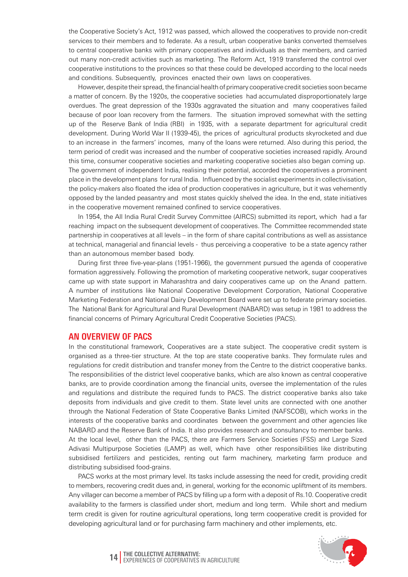the Cooperative Society's Act, 1912 was passed, which allowed the cooperatives to provide non-credit services to their members and to federate. As a result, urban cooperative banks converted themselves to central cooperative banks with primary cooperatives and individuals as their members, and carried out many non-credit activities such as marketing. The Reform Act, 1919 transferred the control over cooperative institutions to the provinces so that these could be developed according to the local needs and conditions. Subsequently, provinces enacted their own laws on cooperatives.

However, despite their spread, the financial health of primary cooperative credit societies soon became a matter of concern. By the 1920s, the cooperative societies had accumulated disproportionately large overdues. The great depression of the 1930s aggravated the situation and many cooperatives failed because of poor loan recovery from the farmers. The situation improved somewhat with the setting up of the Reserve Bank of India (RBI) in 1935, with a separate department for agricultural credit development. During World War II (1939-45), the prices of agricultural products skyrocketed and due to an increase in the farmers' incomes, many of the loans were returned. Also during this period, the term period of credit was increased and the number of cooperative societies increased rapidly. Around this time, consumer cooperative societies and marketing cooperative societies also began coming up. The government of independent India, realising their potential, accorded the cooperatives a prominent place in the development plans for rural India. Influenced by the socialist experiments in collectivisation, the policy-makers also floated the idea of production cooperatives in agriculture, but it was vehemently opposed by the landed peasantry and most states quickly shelved the idea. In the end, state initiatives in the cooperative movement remained confined to service cooperatives.

In 1954, the All India Rural Credit Survey Committee (AIRCS) submitted its report, which had a far reaching impact on the subsequent development of cooperatives. The Committee recommended state partnership in cooperatives at all levels – in the form of share capital contributions as well as assistance at technical, managerial and financial levels - thus perceiving a cooperative to be a state agency rather than an autonomous member based body.

During first three five-year-plans (1951-1966), the government pursued the agenda of cooperative formation aggressively. Following the promotion of marketing cooperative network, sugar cooperatives came up with state support in Maharashtra and dairy cooperatives came up on the Anand pattern. A number of institutions like National Cooperative Development Corporation, National Cooperative Marketing Federation and National Dairy Development Board were set up to federate primary societies. The National Bank for Agricultural and Rural Development (NABARD) was setup in 1981 to address the financial concerns of Primary Agricultural Credit Cooperative Societies (PACS).

#### **An overview of PACS**

In the constitutional framework, Cooperatives are a state subject. The cooperative credit system is organised as a three-tier structure. At the top are state cooperative banks. They formulate rules and regulations for credit distribution and transfer money from the Centre to the district cooperative banks. The responsibilities of the district level cooperative banks, which are also known as central cooperative banks, are to provide coordination among the financial units, oversee the implementation of the rules and regulations and distribute the required funds to PACS. The district cooperative banks also take deposits from individuals and give credit to them. State level units are connected with one another through the National Federation of State Cooperative Banks Limited (NAFSCOB), which works in the interests of the cooperative banks and coordinates between the government and other agencies like NABARD and the Reserve Bank of India. It also provides research and consultancy to member banks. At the local level, other than the PACS, there are Farmers Service Societies (FSS) and Large Sized Adivasi Multipurpose Societies (LAMP) as well, which have other responsibilities like distributing

subsidised fertilizers and pesticides, renting out farm machinery, marketing farm produce and distributing subsidised food-grains. PACS works at the most primary level. Its tasks include assessing the need for credit, providing credit

to members, recovering credit dues and, in general, working for the economic upliftment of its members. Any villager can become a member of PACS by filling up a form with a deposit of Rs.10. Cooperative credit availability to the farmers is classified under short, medium and long term. While short and medium term credit is given for routine agricultural operations, long term cooperative credit is provided for developing agricultural land or for purchasing farm machinery and other implements, etc.



**The Collective Alternative: 14** Experiences of Cooperatives in Agriculture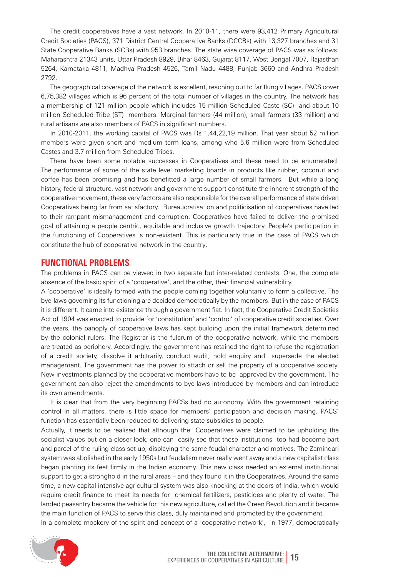The credit cooperatives have a vast network. In 2010-11, there were 93,412 Primary Agricultural Credit Societies (PACS), 371 District Central Cooperative Banks (DCCBs) with 13,327 branches and 31 State Cooperative Banks (SCBs) with 953 branches. The state wise coverage of PACS was as follows: Maharashtra 21343 units, Uttar Pradesh 8929, Bihar 8463, Gujarat 8117, West Bengal 7007, Rajasthan 5264, Karnataka 4811, Madhya Pradesh 4526, Tamil Nadu 4488, Punjab 3660 and Andhra Pradesh 2792.

The geographical coverage of the network is excellent, reaching out to far flung villages. PACS cover 6,75,382 villages which is 96 percent of the total number of villages in the country. The network has a membership of 121 million people which includes 15 million Scheduled Caste (SC) and about 10 million Scheduled Tribe (ST) members. Marginal farmers (44 million), small farmers (33 million) and rural artisans are also members of PACS in significant numbers.

In 2010-2011, the working capital of PACS was Rs 1,44,22,19 million. That year about 52 million members were given short and medium term loans, among who 5.6 million were from Scheduled Castes and 3.7 million from Scheduled Tribes.

There have been some notable successes in Cooperatives and these need to be enumerated. The performance of some of the state level marketing boards in products like rubber, coconut and coffee has been promising and has benefitted a large number of small farmers. But while a long history, federal structure, vast network and government support constitute the inherent strength of the cooperative movement, these very factors are also responsible for the overall performance of state driven Cooperatives being far from satisfactory. Bureaucratisation and politicisation of cooperatives have led to their rampant mismanagement and corruption. Cooperatives have failed to deliver the promised goal of attaining a people centric, equitable and inclusive growth trajectory. People's participation in the functioning of Cooperatives is non-existent. This is particularly true in the case of PACS which constitute the hub of cooperative network in the country.

#### **Functional problems**

The problems in PACS can be viewed in two separate but inter-related contexts. One, the complete absence of the basic spirit of a 'cooperative', and the other, their financial vulnerability.

A 'cooperative' is ideally formed with the people coming together voluntarily to form a collective. The bye-laws governing its functioning are decided democratically by the members. But in the case of PACS it is different. It came into existence through a government fiat. In fact, the Cooperative Credit Societies Act of 1904 was enacted to provide for 'constitution' and 'control' of cooperative credit societies. Over the years, the panoply of cooperative laws has kept building upon the initial framework determined by the colonial rulers. The Registrar is the fulcrum of the cooperative network, while the members are treated as periphery. Accordingly, the government has retained the right to refuse the registration of a credit society, dissolve it arbitrarily, conduct audit, hold enquiry and supersede the elected management. The government has the power to attach or sell the property of a cooperative society. New investments planned by the cooperative members have to be approved by the government. The government can also reject the amendments to bye-laws introduced by members and can introduce its own amendments.

It is clear that from the very beginning PACSs had no autonomy. With the government retaining control in all matters, there is little space for members' participation and decision making. PACS' function has essentially been reduced to delivering state subsidies to people.

Actually, it needs to be realised that although the Cooperatives were claimed to be upholding the socialist values but on a closer look, one can easily see that these institutions too had become part and parcel of the ruling class set up, displaying the same feudal character and motives. The Zamindari system was abolished in the early 1950s but feudalism never really went away and a new capitalist class began planting its feet firmly in the Indian economy. This new class needed an external institutional support to get a stronghold in the rural areas – and they found it in the Cooperatives. Around the same time, a new capital intensive agricultural system was also knocking at the doors of India, which would require credit finance to meet its needs for chemical fertilizers, pesticides and plenty of water. The landed peasantry became the vehicle for this new agriculture, called the Green Revolution and it became the main function of PACS to serve this class, duly maintained and promoted by the government. In a complete mockery of the spirit and concept of a 'cooperative network', in 1977, democratically

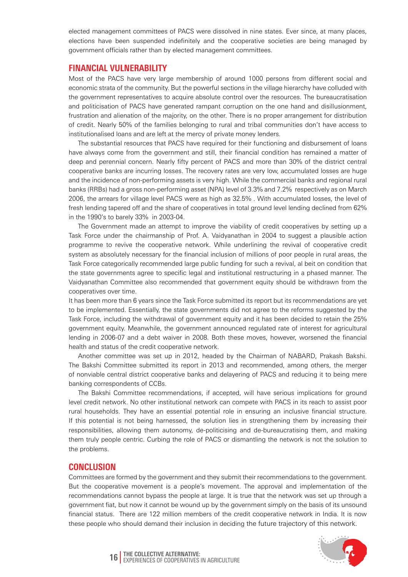elected management committees of PACS were dissolved in nine states. Ever since, at many places, elections have been suspended indefinitely and the cooperative societies are being managed by government officials rather than by elected management committees.

#### **Financial vulnerability**

Most of the PACS have very large membership of around 1000 persons from different social and economic strata of the community. But the powerful sections in the village hierarchy have colluded with the government representatives to acquire absolute control over the resources. The bureaucratisation and politicisation of PACS have generated rampant corruption on the one hand and disillusionment, frustration and alienation of the majority, on the other. There is no proper arrangement for distribution of credit. Nearly 50% of the families belonging to rural and tribal communities don't have access to institutionalised loans and are left at the mercy of private money lenders.

The substantial resources that PACS have required for their functioning and disbursement of loans have always come from the government and still, their financial condition has remained a matter of deep and perennial concern. Nearly fifty percent of PACS and more than 30% of the district central cooperative banks are incurring losses. The recovery rates are very low, accumulated losses are huge and the incidence of non-performing assets is very high. While the commercial banks and regional rural banks (RRBs) had a gross non-performing asset (NPA) level of 3.3% and 7.2% respectively as on March 2006, the arrears for village level PACS were as high as 32.5% . With accumulated losses, the level of fresh lending tapered off and the share of cooperatives in total ground level lending declined from 62% in the 1990's to barely 33% in 2003-04.

The Government made an attempt to improve the viability of credit cooperatives by setting up a Task Force under the chairmanship of Prof. A. Vaidyanathan in 2004 to suggest a plausible action programme to revive the cooperative network. While underlining the revival of cooperative credit system as absolutely necessary for the financial inclusion of millions of poor people in rural areas, the Task Force categorically recommended large public funding for such a revival, al beit on condition that the state governments agree to specific legal and institutional restructuring in a phased manner. The Vaidyanathan Committee also recommended that government equity should be withdrawn from the cooperatives over time.

It has been more than 6 years since the Task Force submitted its report but its recommendations are yet to be implemented. Essentially, the state governments did not agree to the reforms suggested by the Task Force, including the withdrawal of government equity and it has been decided to retain the 25% government equity. Meanwhile, the government announced regulated rate of interest for agricultural lending in 2006-07 and a debt waiver in 2008. Both these moves, however, worsened the financial health and status of the credit cooperative network.

Another committee was set up in 2012, headed by the Chairman of NABARD, Prakash Bakshi. The Bakshi Committee submitted its report in 2013 and recommended, among others, the merger of nonviable central district cooperative banks and delayering of PACS and reducing it to being mere banking correspondents of CCBs.

The Bakshi Committee recommendations, if accepted, will have serious implications for ground level credit network. No other institutional network can compete with PACS in its reach to assist poor rural households. They have an essential potential role in ensuring an inclusive financial structure. If this potential is not being harnessed, the solution lies in strengthening them by increasing their responsibilities, allowing them autonomy, de-politicising and de-bureaucratising them, and making them truly people centric. Curbing the role of PACS or dismantling the network is not the solution to the problems.

#### **Conclusion**

Committees are formed by the government and they submit their recommendations to the government. But the cooperative movement is a people's movement. The approval and implementation of the recommendations cannot bypass the people at large. It is true that the network was set up through a government fiat, but now it cannot be wound up by the government simply on the basis of its unsound financial status. There are 122 million members of the credit cooperative network in India. It is now these people who should demand their inclusion in deciding the future trajectory of this network.



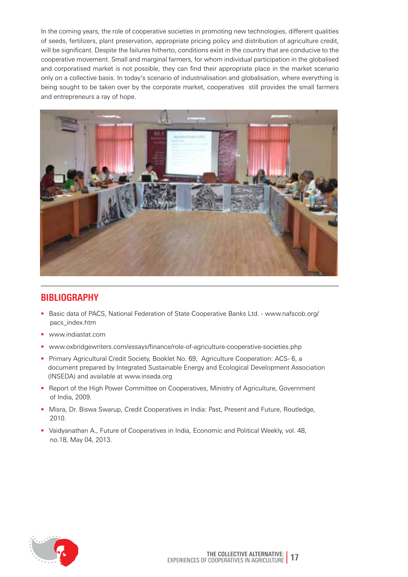In the coming years, the role of cooperative societies in promoting new technologies, different qualities of seeds, fertilizers, plant preservation, appropriate pricing policy and distribution of agriculture credit, will be significant. Despite the failures hitherto, conditions exist in the country that are conducive to the cooperative movement. Small and marginal farmers, for whom individual participation in the globalised and corporatised market is not possible, they can find their appropriate place in the market scenario only on a collective basis. In today's scenario of industrialisation and globalisation, where everything is being sought to be taken over by the corporate market, cooperatives still provides the small farmers and entrepreneurs a ray of hope.



### **Bibliography**

- Basic data of PACS, National Federation of State Cooperative Banks Ltd. www.nafscob.org/ pacs\_index.htm
- www.indiastat.com
- www.oxbridgewriters.com/essays/finance/role-of-agriculture-cooperative-societies.php
- Primary Agricultural Credit Society, Booklet No. 69, Agriculture Cooperation: ACS- 6, a document prepared by Integrated Sustainable Energy and Ecological Development Association (INSEDA) and available at www.inseda.org
- Report of the High Power Committee on Cooperatives, Ministry of Agriculture, Government of India, 2009.
- Misra, Dr. Biswa Swarup, Credit Cooperatives in India: Past, Present and Future, Routledge, 2010.
- Vaidyanathan A., Future of Cooperatives in India, Economic and Political Weekly, vol. 48, no.18, May 04, 2013.

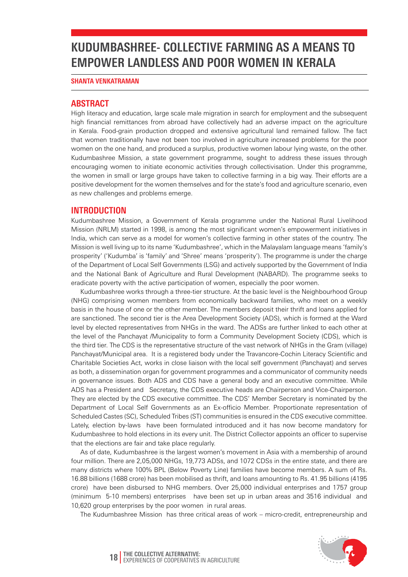# **KUDUMBASHREE- Collective Farming as a Means to Empower Landless and Poor Women in Kerala**

#### **Shanta Venkatraman**

### **Abstract**

High literacy and education, large scale male migration in search for employment and the subsequent high financial remittances from abroad have collectively had an adverse impact on the agriculture in Kerala. Food-grain production dropped and extensive agricultural land remained fallow. The fact that women traditionally have not been too involved in agriculture increased problems for the poor women on the one hand, and produced a surplus, productive women labour lying waste, on the other. Kudumbashree Mission, a state government programme, sought to address these issues through encouraging women to initiate economic activities through collectivisation. Under this programme, the women in small or large groups have taken to collective farming in a big way. Their efforts are a positive development for the women themselves and for the state's food and agriculture scenario, even as new challenges and problems emerge.

### **Introduction**

Kudumbashree Mission, a Government of Kerala programme under the National Rural Livelihood Mission (NRLM) started in 1998, is among the most significant women's empowerment initiatives in India, which can serve as a model for women's collective farming in other states of the country. The Mission is well living up to its name 'Kudumbashree', which in the Malayalam language means 'family's prosperity' ('Kudumba' is 'family' and 'Shree' means 'prosperity'). The programme is under the charge of the Department of Local Self Governments (LSG) and actively supported by the Government of India and the National Bank of Agriculture and Rural Development (NABARD). The programme seeks to eradicate poverty with the active participation of women, especially the poor women.

Kudumbashree works through a three-tier structure. At the basic level is the Neighbourhood Group (NHG) comprising women members from economically backward families, who meet on a weekly basis in the house of one or the other member. The members deposit their thrift and loans applied for are sanctioned. The second tier is the Area Development Society (ADS), which is formed at the Ward level by elected representatives from NHGs in the ward. The ADSs are further linked to each other at the level of the Panchayat /Municipality to form a Community Development Society (CDS), which is the third tier. The CDS is the representative structure of the vast network of NHGs in the Gram (village) Panchayat/Municipal area. It is a registered body under the Travancore-Cochin Literacy Scientific and Charitable Societies Act, works in close liaison with the local self government (Panchayat) and serves as both, a dissemination organ for government programmes and a communicator of community needs in governance issues. Both ADS and CDS have a general body and an executive committee. While ADS has a President and Secretary, the CDS executive heads are Chairperson and Vice-Chairperson. They are elected by the CDS executive committee. The CDS' Member Secretary is nominated by the Department of Local Self Governments as an Ex-officio Member. Proportionate representation of Scheduled Castes (SC), Scheduled Tribes (ST) communities is ensured in the CDS executive committee. Lately, election by-laws have been formulated introduced and it has now become mandatory for Kudumbashree to hold elections in its every unit. The District Collector appoints an officer to supervise that the elections are fair and take place regularly.

As of date, Kudumbashree is the largest women's movement in Asia with a membership of around four million. There are 2,05,000 NHGs, 19,773 ADSs, and 1072 CDSs in the entire state, and there are many districts where 100% BPL (Below Poverty Line) families have become members. A sum of Rs. 16.88 billions (1688 crore) has been mobilised as thrift, and loans amounting to Rs. 41.95 billions (4195 crore) have been disbursed to NHG members. Over 25,000 individual enterprises and 1757 group (minimum 5-10 members) enterprises have been set up in urban areas and 3516 individual and 10,620 group enterprises by the poor women in rural areas.

The Kudumbashree Mission has three critical areas of work – micro-credit, entrepreneurship and

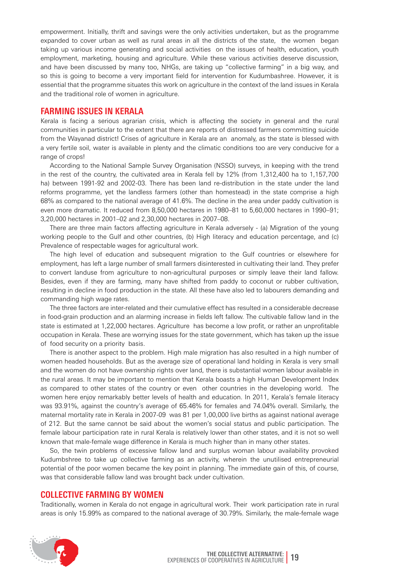empowerment. Initially, thrift and savings were the only activities undertaken, but as the programme expanded to cover urban as well as rural areas in all the districts of the state, the women began taking up various income generating and social activities on the issues of health, education, youth employment, marketing, housing and agriculture. While these various activities deserve discussion, and have been discussed by many too, NHGs, are taking up "collective farming" in a big way, and so this is going to become a very important field for intervention for Kudumbashree. However, it is essential that the programme situates this work on agriculture in the context of the land issues in Kerala and the traditional role of women in agriculture.

#### **Farming issues in Kerala**

Kerala is facing a serious agrarian crisis, which is affecting the society in general and the rural communities in particular to the extent that there are reports of distressed farmers committing suicide from the Wayanad district! Crises of agriculture in Kerala are an anomaly, as the state is blessed with a very fertile soil, water is available in plenty and the climatic conditions too are very conducive for a range of crops!

According to the National Sample Survey Organisation (NSSO) surveys, in keeping with the trend in the rest of the country, the cultivated area in Kerala fell by 12% (from 1,312,400 ha to 1,157,700 ha) between 1991-92 and 2002-03. There has been land re-distribution in the state under the land reforms programme, yet the landless farmers (other than homestead) in the state comprise a high 68% as compared to the national average of 41.6%. The decline in the area under paddy cultivation is even more dramatic. It reduced from 8,50,000 hectares in 1980–81 to 5,60,000 hectares in 1990–91; 3,20,000 hectares in 2001–02 and 2,30,000 hectares in 2007–08.

There are three main factors affecting agriculture in Kerala adversely - (a) Migration of the young working people to the Gulf and other countries, (b) High literacy and education percentage, and (c) Prevalence of respectable wages for agricultural work.

The high level of education and subsequent migration to the Gulf countries or elsewhere for employment, has left a large number of small farmers disinterested in cultivating their land. They prefer to convert landuse from agriculture to non-agricultural purposes or simply leave their land fallow. Besides, even if they are farming, many have shifted from paddy to coconut or rubber cultivation, resulting in decline in food production in the state. All these have also led to labourers demanding and commanding high wage rates.

The three factors are inter-related and their cumulative effect has resulted in a considerable decrease in food-grain production and an alarming increase in fields left fallow. The cultivable fallow land in the state is estimated at 1,22,000 hectares. Agriculture has become a low profit, or rather an unprofitable occupation in Kerala. These are worrying issues for the state government, which has taken up the issue of food security on a priority basis.

There is another aspect to the problem. High male migration has also resulted in a high number of women headed households. But as the average size of operational land holding in Kerala is very small and the women do not have ownership rights over land, there is substantial women labour available in the rural areas. It may be important to mention that Kerala boasts a high Human Development Index as compared to other states of the country or even other countries in the developing world. The women here enjoy remarkably better levels of health and education. In 2011, Kerala's female literacy was 93.91%, against the country's average of 65.46% for females and 74.04% overall. Similarly, the maternal mortality rate in Kerala in 2007-09 was 81 per 1,00,000 live births as against national average of 212. But the same cannot be said about the women's social status and public participation. The female labour participation rate in rural Kerala is relatively lower than other states, and it is not so well known that male-female wage difference in Kerala is much higher than in many other states.

So, the twin problems of excessive fallow land and surplus woman labour availability provoked Kudumbshree to take up collective farming as an activity, wherein the unutilised entrepreneurial potential of the poor women became the key point in planning. The immediate gain of this, of course, was that considerable fallow land was brought back under cultivation.

#### **Collective farming by women**

Traditionally, women in Kerala do not engage in agricultural work. Their work participation rate in rural areas is only 15.99% as compared to the national average of 30.79%. Similarly, the male-female wage

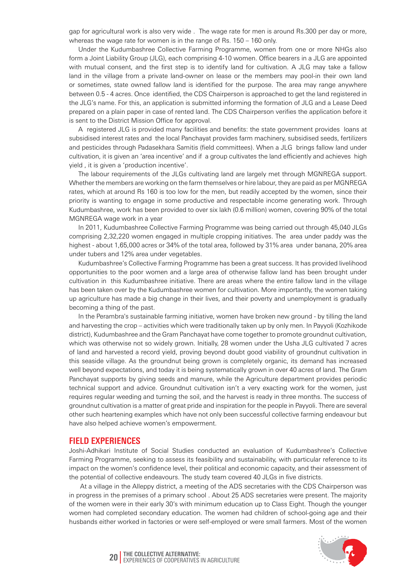gap for agricultural work is also very wide . The wage rate for men is around Rs.300 per day or more, whereas the wage rate for women is in the range of Rs. 150 – 160 only.

Under the Kudumbashree Collective Farming Programme, women from one or more NHGs also form a Joint Liability Group (JLG), each comprising 4-10 women. Office bearers in a JLG are appointed with mutual consent, and the first step is to identify land for cultivation. A JLG may take a fallow land in the village from a private land-owner on lease or the members may pool-in their own land or sometimes, state owned fallow land is identified for the purpose. The area may range anywhere between 0.5 - 4 acres. Once identified, the CDS Chairperson is approached to get the land registered in the JLG's name. For this, an application is submitted informing the formation of JLG and a Lease Deed prepared on a plain paper in case of rented land. The CDS Chairperson verifies the application before it is sent to the District Mission Office for approval.

A registered JLG is provided many facilities and benefits: the state government provides loans at subsidised interest rates and the local Panchayat provides farm machinery, subsidised seeds, fertilizers and pesticides through Padasekhara Samitis (field committees). When a JLG brings fallow land under cultivation, it is given an 'area incentive' and if a group cultivates the land efficiently and achieves high yield , it is given a 'production incentive'.

The labour requirements of the JLGs cultivating land are largely met through MGNREGA support. Whether the members are working on the farm themselves or hire labour, they are paid as per MGNREGA rates, which at around Rs 160 is too low for the men, but readily accepted by the women, since their priority is wanting to engage in some productive and respectable income generating work. Through Kudumbashree, work has been provided to over six lakh (0.6 million) women, covering 90% of the total MGNREGA wage work in a year

In 2011, Kudumbashree Collective Farming Programme was being carried out through 45,040 JLGs comprising 2,32,220 women engaged in multiple cropping initiatives. The area under paddy was the highest - about 1,65,000 acres or 34% of the total area, followed by 31% area under banana, 20% area under tubers and 12% area under vegetables.

Kudumbashree's Collective Farming Programme has been a great success. It has provided livelihood opportunities to the poor women and a large area of otherwise fallow land has been brought under cultivation in this Kudumbashree initiative. There are areas where the entire fallow land in the village has been taken over by the Kudumbashree women for cultivation. More importantly, the women taking up agriculture has made a big change in their lives, and their poverty and unemployment is gradually becoming a thing of the past.

In the Perambra's sustainable farming initiative, women have broken new ground - by tilling the land and harvesting the crop – activities which were traditionally taken up by only men. In Payyoli (Kozhikode district), Kudumbashree and the Gram Panchayat have come together to promote groundnut cultivation, which was otherwise not so widely grown. Initially, 28 women under the Usha JLG cultivated 7 acres of land and harvested a record yield, proving beyond doubt good viability of groundnut cultivation in this seaside village. As the groundnut being grown is completely organic, its demand has increased well beyond expectations, and today it is being systematically grown in over 40 acres of land. The Gram Panchayat supports by giving seeds and manure, while the Agriculture department provides periodic technical support and advice. Groundnut cultivation isn't a very exacting work for the women, just requires regular weeding and turning the soil, and the harvest is ready in three months. The success of groundnut cultivation is a matter of great pride and inspiration for the people in Payyoli. There are several other such heartening examples which have not only been successful collective farming endeavour but have also helped achieve women's empowerment.

#### **Field experiences**

Joshi-Adhikari Institute of Social Studies conducted an evaluation of Kudumbashree's Collective Farming Programme, seeking to assess its feasibility and sustainability, with particular reference to its impact on the women's confidence level, their political and economic capacity, and their assessment of the potential of collective endeavours. The study team covered 40 JLGs in five districts.

 At a village in the Alleppy district, a meeting of the ADS secretaries with the CDS Chairperson was in progress in the premises of a primary school . About 25 ADS secretaries were present. The majority of the women were in their early 30's with minimum education up to Class Eight. Though the younger women had completed secondary education. The women had children of school-going age and their husbands either worked in factories or were self-employed or were small farmers. Most of the women



**20** THE COLLECTIVE ALTERNATIVE: **20** EXPERIENCES OF COOPERATIVES IN AGRICULTURE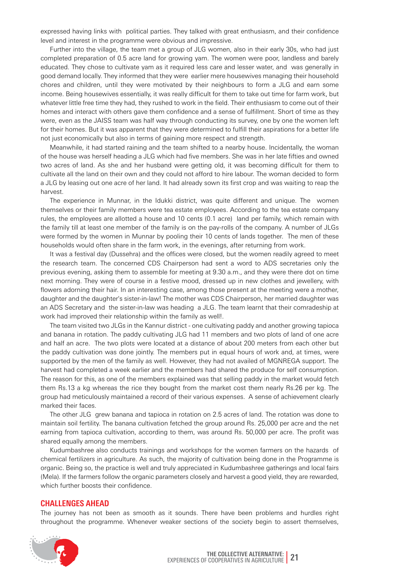expressed having links with political parties. They talked with great enthusiasm, and their confidence level and interest in the programme were obvious and impressive.

Further into the village, the team met a group of JLG women, also in their early 30s, who had just completed preparation of 0.5 acre land for growing yam. The women were poor, landless and barely educated. They chose to cultivate yam as it required less care and lesser water, and was generally in good demand locally. They informed that they were earlier mere housewives managing their household chores and children, until they were motivated by their neighbours to form a JLG and earn some income. Being housewives essentially, it was really difficult for them to take out time for farm work, but whatever little free time they had, they rushed to work in the field. Their enthusiasm to come out of their homes and interact with others gave them confidence and a sense of fulfillment. Short of time as they were, even as the JAISS team was half way through conducting its survey, one by one the women left for their homes. But it was apparent that they were determined to fulfill their aspirations for a better life not just economically but also in terms of gaining more respect and strength.

Meanwhile, it had started raining and the team shifted to a nearby house. Incidentally, the woman of the house was herself heading a JLG which had five members. She was in her late fifties and owned two acres of land. As she and her husband were getting old, it was becoming difficult for them to cultivate all the land on their own and they could not afford to hire labour. The woman decided to form a JLG by leasing out one acre of her land. It had already sown its first crop and was waiting to reap the harvest.

The experience in Munnar, in the Idukki district, was quite different and unique. The women themselves or their family members were tea estate employees. According to the tea estate company rules, the employees are allotted a house and 10 cents (0.1 acre) land per family, which remain with the family till at least one member of the family is on the pay-rolls of the company. A number of JLGs were formed by the women in Munnar by pooling their 10 cents of lands together. The men of these households would often share in the farm work, in the evenings, after returning from work.

It was a festival day (Dussehra) and the offices were closed, but the women readily agreed to meet the research team. The concerned CDS Chairperson had sent a word to ADS secretaries only the previous evening, asking them to assemble for meeting at 9.30 a.m., and they were there dot on time next morning. They were of course in a festive mood, dressed up in new clothes and jewellery, with flowers adorning their hair. In an interesting case, among those present at the meeting were a mother, daughter and the daughter's sister-in-law! The mother was CDS Chairperson, her married daughter was an ADS Secretary and the sister-in-law was heading a JLG. The team learnt that their comradeship at work had improved their relationship within the family as well!.

The team visited two JLGs in the Kannur district - one cultivating paddy and another growing tapioca and banana in rotation. The paddy cultivating JLG had 11 members and two plots of land of one acre and half an acre. The two plots were located at a distance of about 200 meters from each other but the paddy cultivation was done jointly. The members put in equal hours of work and, at times, were supported by the men of the family as well. However, they had not availed of MGNREGA support. The harvest had completed a week earlier and the members had shared the produce for self consumption. The reason for this, as one of the members explained was that selling paddy in the market would fetch them Rs.13 a kg whereas the rice they bought from the market cost them nearly Rs.26 per kg. The group had meticulously maintained a record of their various expenses. A sense of achievement clearly marked their faces.

The other JLG grew banana and tapioca in rotation on 2.5 acres of land. The rotation was done to maintain soil fertility. The banana cultivation fetched the group around Rs. 25,000 per acre and the net earning from tapioca cultivation, according to them, was around Rs. 50,000 per acre. The profit was shared equally among the members.

Kudumbashree also conducts trainings and workshops for the women farmers on the hazards of chemical fertilizers in agriculture. As such, the majority of cultivation being done in the Programme is organic. Being so, the practice is well and truly appreciated in Kudumbashree gatherings and local fairs (Mela). If the farmers follow the organic parameters closely and harvest a good yield, they are rewarded, which further boosts their confidence.

#### **Challenges ahead**

The journey has not been as smooth as it sounds. There have been problems and hurdles right throughout the programme. Whenever weaker sections of the society begin to assert themselves,

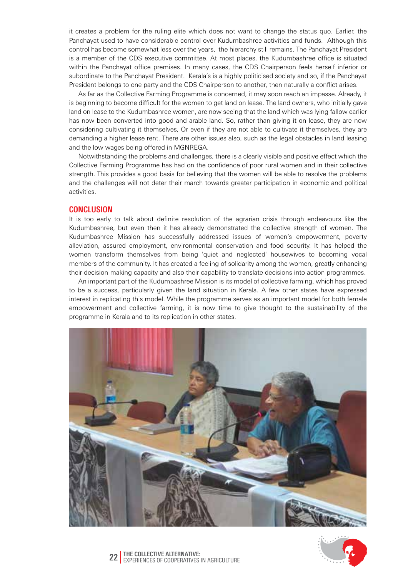it creates a problem for the ruling elite which does not want to change the status quo. Earlier, the Panchayat used to have considerable control over Kudumbashree activities and funds. Although this control has become somewhat less over the years, the hierarchy still remains. The Panchayat President is a member of the CDS executive committee. At most places, the Kudumbashree office is situated within the Panchayat office premises. In many cases, the CDS Chairperson feels herself inferior or subordinate to the Panchayat President. Kerala's is a highly politicised society and so, if the Panchayat President belongs to one party and the CDS Chairperson to another, then naturally a conflict arises.

As far as the Collective Farming Programme is concerned, it may soon reach an impasse. Already, it is beginning to become difficult for the women to get land on lease. The land owners, who initially gave land on lease to the Kudumbashree women, are now seeing that the land which was lying fallow earlier has now been converted into good and arable land. So, rather than giving it on lease, they are now considering cultivating it themselves, Or even if they are not able to cultivate it themselves, they are demanding a higher lease rent. There are other issues also, such as the legal obstacles in land leasing and the low wages being offered in MGNREGA.

Notwithstanding the problems and challenges, there is a clearly visible and positive effect which the Collective Farming Programme has had on the confidence of poor rural women and in their collective strength. This provides a good basis for believing that the women will be able to resolve the problems and the challenges will not deter their march towards greater participation in economic and political activities.

#### **Conclusion**

It is too early to talk about definite resolution of the agrarian crisis through endeavours like the Kudumbashree, but even then it has already demonstrated the collective strength of women. The Kudumbashree Mission has successfully addressed issues of women's empowerment, poverty alleviation, assured employment, environmental conservation and food security. It has helped the women transform themselves from being 'quiet and neglected' housewives to becoming vocal members of the community. It has created a feeling of solidarity among the women, greatly enhancing their decision-making capacity and also their capability to translate decisions into action programmes.

An important part of the Kudumbashree Mission is its model of collective farming, which has proved to be a success, particularly given the land situation in Kerala. A few other states have expressed interest in replicating this model. While the programme serves as an important model for both female empowerment and collective farming, it is now time to give thought to the sustainability of the programme in Kerala and to its replication in other states.



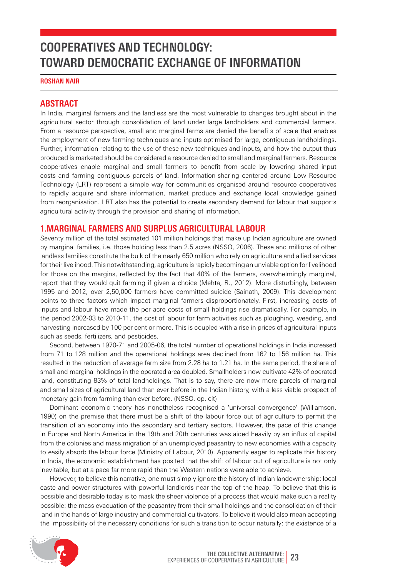## **Cooperatives and Technology: Toward Democratic Exchange of Information**

**Roshan Nair**

#### **Abstract**

In India, marginal farmers and the landless are the most vulnerable to changes brought about in the agricultural sector through consolidation of land under large landholders and commercial farmers. From a resource perspective, small and marginal farms are denied the benefits of scale that enables the employment of new farming techniques and inputs optimised for large, contiguous landholdings. Further, information relating to the use of these new techniques and inputs, and how the output thus produced is marketed should be considered a resource denied to small and marginal farmers. Resource cooperatives enable marginal and small farmers to benefit from scale by lowering shared input costs and farming contiguous parcels of land. Information-sharing centered around Low Resource Technology (LRT) represent a simple way for communities organised around resource cooperatives to rapidly acquire and share information, market produce and exchange local knowledge gained from reorganisation. LRT also has the potential to create secondary demand for labour that supports agricultural activity through the provision and sharing of information.

#### **1.MARGINAL FARMERS AND SURPLUS AGRICULTURAL LABOUR**

Seventy million of the total estimated 101 million holdings that make up Indian agriculture are owned by marginal families, i.e. those holding less than 2.5 acres (NSSO, 2006). These and millions of other landless families constitute the bulk of the nearly 650 million who rely on agriculture and allied services for their livelihood. This notwithstanding, agriculture is rapidly becoming an unviable option for livelihood for those on the margins, reflected by the fact that 40% of the farmers, overwhelmingly marginal, report that they would quit farming if given a choice (Mehta, R., 2012). More disturbingly, between 1995 and 2012, over 2,50,000 farmers have committed suicide (Sainath, 2009). This development points to three factors which impact marginal farmers disproportionately. First, increasing costs of inputs and labour have made the per acre costs of small holdings rise dramatically. For example, in the period 2002-03 to 2010-11, the cost of labour for farm activities such as ploughing, weeding, and harvesting increased by 100 per cent or more. This is coupled with a rise in prices of agricultural inputs such as seeds, fertilizers, and pesticides.

Second, between 1970-71 and 2005-06, the total number of operational holdings in India increased from 71 to 128 million and the operational holdings area declined from 162 to 156 million ha. This resulted in the reduction of average farm size from 2.28 ha to 1.21 ha. In the same period, the share of small and marginal holdings in the operated area doubled. Smallholders now cultivate 42% of operated land, constituting 83% of total landholdings. That is to say, there are now more parcels of marginal and small sizes of agricultural land than ever before in the Indian history, with a less viable prospect of monetary gain from farming than ever before. (NSSO, op. cit)

Dominant economic theory has nonetheless recognised a 'universal convergence' (Williamson, 1990) on the premise that there must be a shift of the labour force out of agriculture to permit the transition of an economy into the secondary and tertiary sectors. However, the pace of this change in Europe and North America in the 19th and 20th centuries was aided heavily by an influx of capital from the colonies and mass migration of an unemployed peasantry to new economies with a capacity to easily absorb the labour force (Ministry of Labour, 2010). Apparently eager to replicate this history in India, the economic establishment has posited that the shift of labour out of agriculture is not only inevitable, but at a pace far more rapid than the Western nations were able to achieve.

However, to believe this narrative, one must simply ignore the history of Indian landownership: local caste and power structures with powerful landlords near the top of the heap. To believe that this is possible and desirable today is to mask the sheer violence of a process that would make such a reality possible: the mass evacuation of the peasantry from their small holdings and the consolidation of their land in the hands of large industry and commercial cultivators. To believe it would also mean accepting the impossibility of the necessary conditions for such a transition to occur naturally: the existence of a

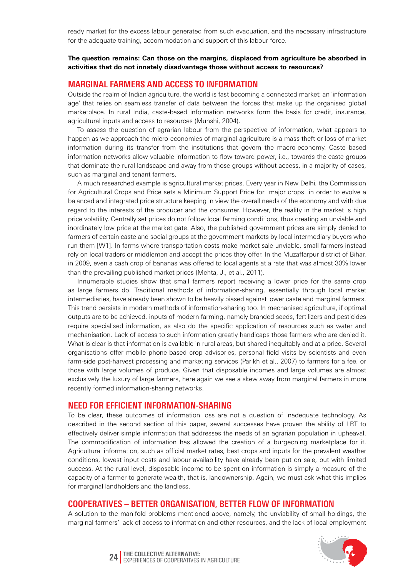ready market for the excess labour generated from such evacuation, and the necessary infrastructure for the adequate training, accommodation and support of this labour force.

#### **The question remains: Can those on the margins, displaced from agriculture be absorbed in activities that do not innately disadvantage those without access to resources?**

#### **Marginal farmers and access to information**

Outside the realm of Indian agriculture, the world is fast becoming a connected market; an 'information age' that relies on seamless transfer of data between the forces that make up the organised global marketplace. In rural India, caste-based information networks form the basis for credit, insurance, agricultural inputs and access to resources (Munshi, 2004).

To assess the question of agrarian labour from the perspective of information, what appears to happen as we approach the micro-economies of marginal agriculture is a mass theft or loss of market information during its transfer from the institutions that govern the macro-economy. Caste based information networks allow valuable information to flow toward power, i.e., towards the caste groups that dominate the rural landscape and away from those groups without access, in a majority of cases, such as marginal and tenant farmers.

A much researched example is agricultural market prices. Every year in New Delhi, the Commission for Agricultural Crops and Price sets a Minimum Support Price for major crops in order to evolve a balanced and integrated price structure keeping in view the overall needs of the economy and with due regard to the interests of the producer and the consumer. However, the reality in the market is high price volatility. Centrally set prices do not follow local farming conditions, thus creating an unviable and inordinately low price at the market gate. Also, the published government prices are simply denied to farmers of certain caste and social groups at the government markets by local intermediary buyers who run them [W1]. In farms where transportation costs make market sale unviable, small farmers instead rely on local traders or middlemen and accept the prices they offer. In the Muzaffarpur district of Bihar, in 2009, even a cash crop of bananas was offered to local agents at a rate that was almost 30% lower than the prevailing published market prices (Mehta, J., et al., 2011).

Innumerable studies show that small farmers report receiving a lower price for the same crop as large farmers do. Traditional methods of information-sharing, essentially through local market intermediaries, have already been shown to be heavily biased against lower caste and marginal farmers. This trend persists in modern methods of information-sharing too. In mechanised agriculture, if optimal outputs are to be achieved, inputs of modern farming, namely branded seeds, fertilizers and pesticides require specialised information, as also do the specific application of resources such as water and mechanisation. Lack of access to such information greatly handicaps those farmers who are denied it. What is clear is that information is available in rural areas, but shared inequitably and at a price. Several organisations offer mobile phone-based crop advisories, personal field visits by scientists and even farm-side post-harvest processing and marketing services (Parikh et al., 2007) to farmers for a fee, or those with large volumes of produce. Given that disposable incomes and large volumes are almost exclusively the luxury of large farmers, here again we see a skew away from marginal farmers in more recently formed information-sharing networks.

#### **Need for efficient information-sharing**

To be clear, these outcomes of information loss are not a question of inadequate technology. As described in the second section of this paper, several successes have proven the ability of LRT to effectively deliver simple information that addresses the needs of an agrarian population in upheaval. The commodification of information has allowed the creation of a burgeoning marketplace for it. Agricultural information, such as official market rates, best crops and inputs for the prevalent weather conditions, lowest input costs and labour availability have already been put on sale, but with limited success. At the rural level, disposable income to be spent on information is simply a measure of the capacity of a farmer to generate wealth, that is, landownership. Again, we must ask what this implies for marginal landholders and the landless.

#### **Cooperatives – Better organiSation, better flow of information**

A solution to the manifold problems mentioned above, namely, the unviability of small holdings, the marginal farmers' lack of access to information and other resources, and the lack of local employment



**The Collective Alternative: 24** Experiences of Cooperatives in Agriculture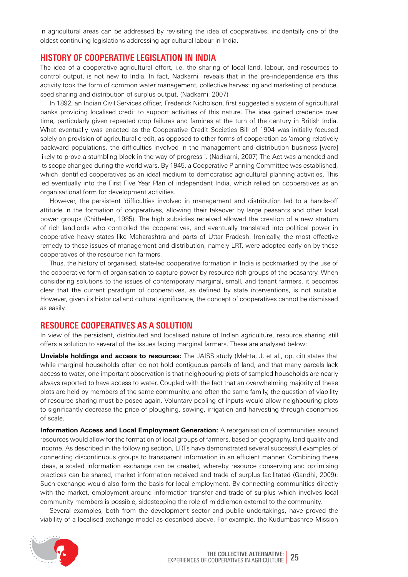in agricultural areas can be addressed by revisiting the idea of cooperatives, incidentally one of the oldest continuing legislations addressing agricultural labour in India.

#### **History of Cooperative Legislation in India**

The idea of a cooperative agricultural effort, i.e. the sharing of local land, labour, and resources to control output, is not new to India. In fact, Nadkarni reveals that in the pre-independence era this activity took the form of common water management, collective harvesting and marketing of produce, seed sharing and distribution of surplus output. (Nadkarni, 2007)

In 1892, an Indian Civil Services officer, Frederick Nicholson, first suggested a system of agricultural banks providing localised credit to support activities of this nature. The idea gained credence over time, particularly given repeated crop failures and famines at the turn of the century in British India. What eventually was enacted as the Cooperative Credit Societies Bill of 1904 was initially focused solely on provision of agricultural credit, as opposed to other forms of cooperation as 'among relatively backward populations, the difficulties involved in the management and distribution business [were] likely to prove a stumbling block in the way of progress '. (Nadkarni, 2007) The Act was amended and its scope changed during the world wars. By 1945, a Cooperative Planning Committee was established, which identified cooperatives as an ideal medium to democratise agricultural planning activities. This led eventually into the First Five Year Plan of independent India, which relied on cooperatives as an organisational form for development activities.

However, the persistent 'difficulties involved in management and distribution led to a hands-off attitude in the formation of cooperatives, allowing their takeover by large peasants and other local power groups (Chithelen, 1985). The high subsidies received allowed the creation of a new stratum of rich landlords who controlled the cooperatives, and eventually translated into political power in cooperative heavy states like Maharashtra and parts of Uttar Pradesh. Ironically, the most effective remedy to these issues of management and distribution, namely LRT, were adopted early on by these cooperatives of the resource rich farmers.

Thus, the history of organised, state-led cooperative formation in India is pockmarked by the use of the cooperative form of organisation to capture power by resource rich groups of the peasantry. When considering solutions to the issues of contemporary marginal, small, and tenant farmers, it becomes clear that the current paradigm of cooperatives, as defined by state interventions, is not suitable. However, given its historical and cultural significance, the concept of cooperatives cannot be dismissed as easily.

#### **Resource cooperatives as a solution**

In view of the persistent, distributed and localised nature of Indian agriculture, resource sharing still offers a solution to several of the issues facing marginal farmers. These are analysed below:

**Unviable holdings and access to resources:** The JAISS study (Mehta, J. et al., op. cit) states that while marginal households often do not hold contiguous parcels of land, and that many parcels lack access to water, one important observation is that neighbouring plots of sampled households are nearly always reported to have access to water. Coupled with the fact that an overwhelming majority of these plots are held by members of the same community, and often the same family, the question of viability of resource sharing must be posed again. Voluntary pooling of inputs would allow neighbouring plots to significantly decrease the price of ploughing, sowing, irrigation and harvesting through economies of scale.

**Information Access and Local Employment Generation:** A reorganisation of communities around resources would allow for the formation of local groups of farmers, based on geography, land quality and income. As described in the following section, LRTs have demonstrated several successful examples of connecting discontinuous groups to transparent information in an efficient manner. Combining these ideas, a scaled information exchange can be created, whereby resource conserving and optimising practices can be shared, market information received and trade of surplus facilitated (Gandhi, 2009). Such exchange would also form the basis for local employment. By connecting communities directly with the market, employment around information transfer and trade of surplus which involves local community members is possible, sidestepping the role of middlemen external to the community.

Several examples, both from the development sector and public undertakings, have proved the viability of a localised exchange model as described above. For example, the Kudumbashree Mission

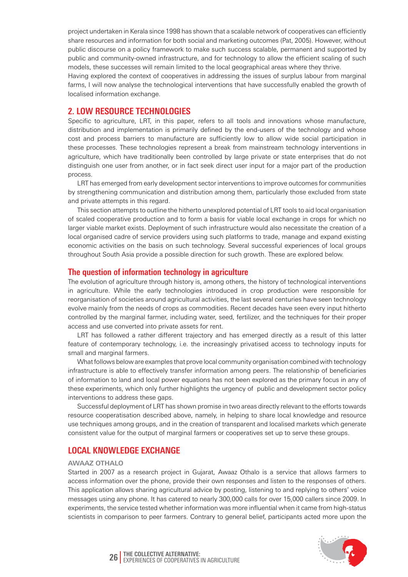project undertaken in Kerala since 1998 has shown that a scalable network of cooperatives can efficiently share resources and information for both social and marketing outcomes (Pat, 2005). However, without public discourse on a policy framework to make such success scalable, permanent and supported by public and community-owned infrastructure, and for technology to allow the efficient scaling of such models, these successes will remain limited to the local geographical areas where they thrive.

Having explored the context of cooperatives in addressing the issues of surplus labour from marginal farms, I will now analyse the technological interventions that have successfully enabled the growth of localised information exchange.

#### **2. LOW RESOURCE TECHNOLOGIES**

Specific to agriculture, LRT, in this paper, refers to all tools and innovations whose manufacture, distribution and implementation is primarily defined by the end-users of the technology and whose cost and process barriers to manufacture are sufficiently low to allow wide social participation in these processes. These technologies represent a break from mainstream technology interventions in agriculture, which have traditionally been controlled by large private or state enterprises that do not distinguish one user from another, or in fact seek direct user input for a major part of the production process.

LRT has emerged from early development sector interventions to improve outcomes for communities by strengthening communication and distribution among them, particularly those excluded from state and private attempts in this regard.

This section attempts to outline the hitherto unexplored potential of LRT tools to aid local organisation of scaled cooperative production and to form a basis for viable local exchange in crops for which no larger viable market exists. Deployment of such infrastructure would also necessitate the creation of a local organised cadre of service providers using such platforms to trade, manage and expand existing economic activities on the basis on such technology. Several successful experiences of local groups throughout South Asia provide a possible direction for such growth. These are explored below.

#### **The question of information technology in agriculture**

The evolution of agriculture through history is, among others, the history of technological interventions in agriculture. While the early technologies introduced in crop production were responsible for reorganisation of societies around agricultural activities, the last several centuries have seen technology evolve mainly from the needs of crops as commodities. Recent decades have seen every input hitherto controlled by the marginal farmer, including water, seed, fertilizer, and the techniques for their proper access and use converted into private assets for rent.

LRT has followed a rather different trajectory and has emerged directly as a result of this latter feature of contemporary technology, i.e. the increasingly privatised access to technology inputs for small and marginal farmers.

What follows below are examples that prove local community organisation combined with technology infrastructure is able to effectively transfer information among peers. The relationship of beneficiaries of information to land and local power equations has not been explored as the primary focus in any of these experiments, which only further highlights the urgency of public and development sector policy interventions to address these gaps.

Successful deployment of LRT has shown promise in two areas directly relevant to the efforts towards resource cooperatisation described above, namely, in helping to share local knowledge and resource use techniques among groups, and in the creation of transparent and localised markets which generate consistent value for the output of marginal farmers or cooperatives set up to serve these groups.

### **Local Knowledge Exchange**

#### **Awaaz Othalo**

Started in 2007 as a research project in Gujarat, Awaaz Othalo is a service that allows farmers to access information over the phone, provide their own responses and listen to the responses of others. This application allows sharing agricultural advice by posting, listening to and replying to others' voice messages using any phone. It has catered to nearly 300,000 calls for over 15,000 callers since 2009. In experiments, the service tested whether information was more influential when it came from high-status scientists in comparison to peer farmers. Contrary to general belief, participants acted more upon the



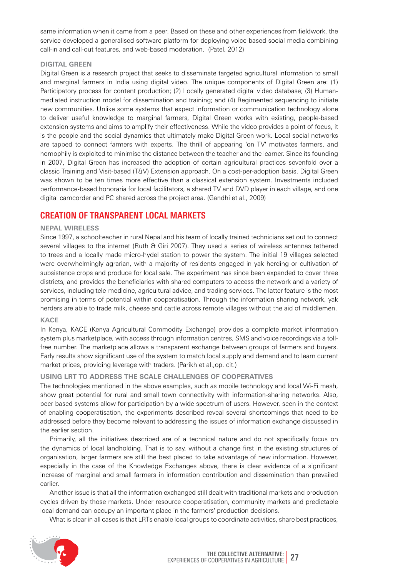same information when it came from a peer. Based on these and other experiences from fieldwork, the service developed a generalised software platform for deploying voice-based social media combining call-in and call-out features, and web-based moderation. (Patel, 2012)

#### **Digital Green**

Digital Green is a research project that seeks to disseminate targeted agricultural information to small and marginal farmers in India using digital video. The unique components of Digital Green are: (1) Participatory process for content production; (2) Locally generated digital video database; (3) Humanmediated instruction model for dissemination and training; and (4) Regimented sequencing to initiate new communities. Unlike some systems that expect information or communication technology alone to deliver useful knowledge to marginal farmers, Digital Green works with existing, people-based extension systems and aims to amplify their effectiveness. While the video provides a point of focus, it is the people and the social dynamics that ultimately make Digital Green work. Local social networks are tapped to connect farmers with experts. The thrill of appearing 'on TV' motivates farmers, and homophily is exploited to minimise the distance between the teacher and the learner. Since its founding in 2007, Digital Green has increased the adoption of certain agricultural practices sevenfold over a classic Training and Visit-based (T&V) Extension approach. On a cost-per-adoption basis, Digital Green was shown to be ten times more effective than a classical extension system. Investments included performance-based honoraria for local facilitators, a shared TV and DVD player in each village, and one digital camcorder and PC shared across the project area. (Gandhi et al., 2009)

### **Creation of Transparent Local Markets**

#### **Nepal Wireless**

Since 1997, a schoolteacher in rural Nepal and his team of locally trained technicians set out to connect several villages to the internet (Ruth & Giri 2007). They used a series of wireless antennas tethered to trees and a locally made micro-hydel station to power the system. The initial 19 villages selected were overwhelmingly agrarian, with a majority of residents engaged in yak herding or cultivation of subsistence crops and produce for local sale. The experiment has since been expanded to cover three districts, and provides the beneficiaries with shared computers to access the network and a variety of services, including tele-medicine, agricultural advice, and trading services. The latter feature is the most promising in terms of potential within cooperatisation. Through the information sharing network, yak herders are able to trade milk, cheese and cattle across remote villages without the aid of middlemen.

#### **KACE**

In Kenya, KACE (Kenya Agricultural Commodity Exchange) provides a complete market information system plus marketplace, with access through information centres, SMS and voice recordings via a tollfree number. The marketplace allows a transparent exchange between groups of farmers and buyers. Early results show significant use of the system to match local supply and demand and to learn current market prices, providing leverage with traders. (Parikh et al.,op. cit.)

#### **Using LRT to address the scale challenges of cooperatives**

The technologies mentioned in the above examples, such as mobile technology and local Wi-Fi mesh, show great potential for rural and small town connectivity with information-sharing networks. Also, peer-based systems allow for participation by a wide spectrum of users. However, seen in the context of enabling cooperatisation, the experiments described reveal several shortcomings that need to be addressed before they become relevant to addressing the issues of information exchange discussed in the earlier section.

Primarily, all the initiatives described are of a technical nature and do not specifically focus on the dynamics of local landholding. That is to say, without a change first in the existing structures of organisation, larger farmers are still the best placed to take advantage of new information. However, especially in the case of the Knowledge Exchanges above, there is clear evidence of a significant increase of marginal and small farmers in information contribution and dissemination than prevailed earlier.

Another issue is that all the information exchanged still dealt with traditional markets and production cycles driven by those markets. Under resource cooperatisation, community markets and predictable local demand can occupy an important place in the farmers' production decisions.

What is clear in all cases is that LRTs enable local groups to coordinate activities, share best practices,

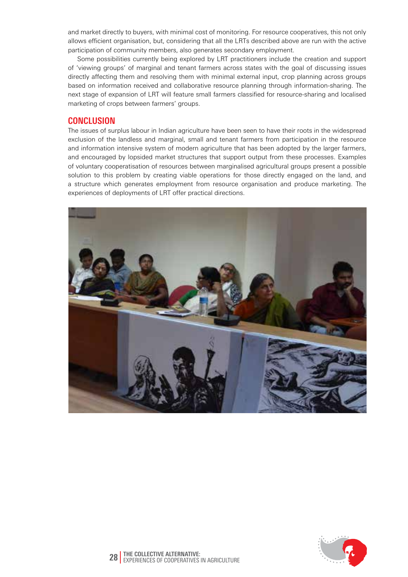and market directly to buyers, with minimal cost of monitoring. For resource cooperatives, this not only allows efficient organisation, but, considering that all the LRTs described above are run with the active participation of community members, also generates secondary employment.

Some possibilities currently being explored by LRT practitioners include the creation and support of 'viewing groups' of marginal and tenant farmers across states with the goal of discussing issues directly affecting them and resolving them with minimal external input, crop planning across groups based on information received and collaborative resource planning through information-sharing. The next stage of expansion of LRT will feature small farmers classified for resource-sharing and localised marketing of crops between farmers' groups.

#### **Conclusion**

The issues of surplus labour in Indian agriculture have been seen to have their roots in the widespread exclusion of the landless and marginal, small and tenant farmers from participation in the resource and information intensive system of modern agriculture that has been adopted by the larger farmers, and encouraged by lopsided market structures that support output from these processes. Examples of voluntary cooperatisation of resources between marginalised agricultural groups present a possible solution to this problem by creating viable operations for those directly engaged on the land, and a structure which generates employment from resource organisation and produce marketing. The experiences of deployments of LRT offer practical directions.



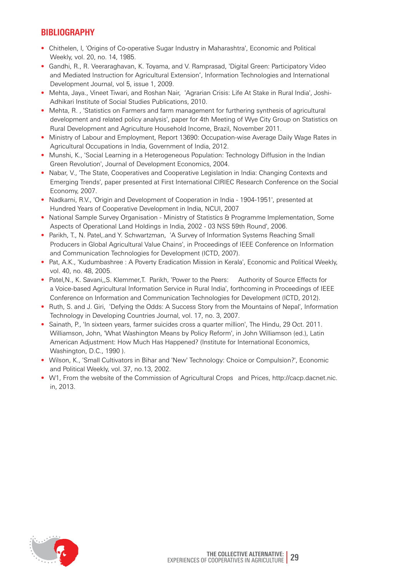### **Bibliography**

- Chithelen, I, 'Origins of Co-operative Sugar Industry in Maharashtra', Economic and Political Weekly, vol. 20, no. 14, 1985.
- Gandhi, R., R. Veeraraghavan, K. Toyama, and V. Ramprasad, 'Digital Green: Participatory Video and Mediated Instruction for Agricultural Extension', Information Technologies and International Development Journal, vol 5, issue 1, 2009.
- Mehta, Jaya., Vineet Tiwari, and Roshan Nair, 'Agrarian Crisis: Life At Stake in Rural India', Joshi- Adhikari Institute of Social Studies Publications, 2010.
- Mehta, R. , 'Statistics on Farmers and farm management for furthering synthesis of agricultural development and related policy analysis', paper for 4th Meeting of Wye City Group on Statistics on Rural Development and Agriculture Household Income, Brazil, November 2011.
- Ministry of Labour and Employment, Report 13690: Occupation-wise Average Daily Wage Rates in Agricultural Occupations in India, Government of India, 2012.
- Munshi, K., 'Social Learning in a Heterogeneous Population: Technology Diffusion in the Indian Green Revolution', Journal of Development Economics, 2004.
- Nabar, V., 'The State, Cooperatives and Cooperative Legislation in India: Changing Contexts and Emerging Trends', paper presented at First International CIRIEC Research Conference on the Social Economy, 2007.
- Nadkarni, R.V., 'Origin and Development of Cooperation in India 1904-1951', presented at Hundred Years of Cooperative Development in India, NCUI, 2007
- National Sample Survey Organisation Ministry of Statistics & Programme Implementation, Some Aspects of Operational Land Holdings in India, 2002 - 03 NSS 59th Round', 2006.
- Parikh, T., N. Patel,.and Y. Schwartzman, 'A Survey of Information Systems Reaching Small Producers in Global Agricultural Value Chains', in Proceedings of IEEE Conference on Information and Communication Technologies for Development (ICTD, 2007).
- Pat, A.K., 'Kudumbashree : A Poverty Eradication Mission in Kerala', Economic and Political Weekly, vol. 40, no. 48, 2005.
- Patel,N., K. Savani,,S. Klemmer,T. Parikh, 'Power to the Peers: Authority of Source Effects for a Voice-based Agricultural Information Service in Rural India', forthcoming in Proceedings of IEEE Conference on Information and Communication Technologies for Development (ICTD, 2012).
- Ruth, S. and J. Giri, 'Defying the Odds: A Success Story from the Mountains of Nepal', Information Technology in Developing Countries Journal, vol. 17, no. 3, 2007.
- Sainath, P., 'In sixteen years, farmer suicides cross a quarter million', The Hindu, 29 Oct. 2011. Williamson, John, 'What Washington Means by Policy Reform', in John Williamson (ed.), Latin American Adjustment: How Much Has Happened? (Institute for International Economics, Washington, D.C., 1990 ).
- Wilson, K., 'Small Cultivators in Bihar and 'New' Technology: Choice or Compulsion?', Economic and Political Weekly, vol. 37, no.13, 2002.
- W1, From the website of the Commission of Agricultural Crops and Prices, http://cacp.dacnet.nic. in, 2013.

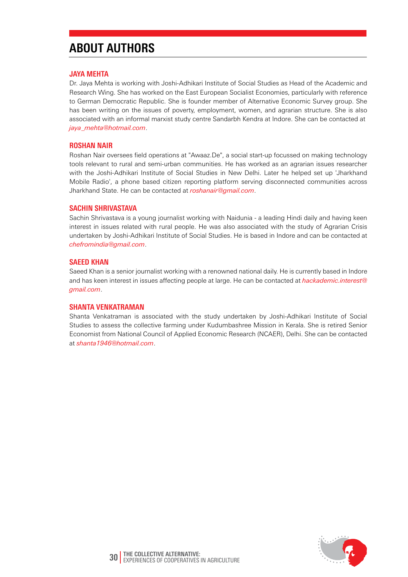# **About Authors**

#### **JAYA MEHTA**

Dr. Jaya Mehta is working with Joshi-Adhikari Institute of Social Studies as Head of the Academic and Research Wing. She has worked on the East European Socialist Economies, particularly with reference to German Democratic Republic. She is founder member of Alternative Economic Survey group. She has been writing on the issues of poverty, employment, women, and agrarian structure. She is also associated with an informal marxist study centre Sandarbh Kendra at Indore. She can be contacted at *jaya\_mehta@hotmail.com*.

#### **ROSHAN NAIR**

Roshan Nair oversees field operations at "Awaaz.De", a social start-up focussed on making technology tools relevant to rural and semi-urban communities. He has worked as an agrarian issues researcher with the Joshi-Adhikari Institute of Social Studies in New Delhi. Later he helped set up 'Jharkhand Mobile Radio', a phone based citizen reporting platform serving disconnected communities across Jharkhand State. He can be contacted at *roshanair@gmail.com*.

#### **SACHIN SHRIVASTAVA**

Sachin Shrivastava is a young journalist working with Naidunia - a leading Hindi daily and having keen interest in issues related with rural people. He was also associated with the study of Agrarian Crisis undertaken by Joshi-Adhikari Institute of Social Studies. He is based in Indore and can be contacted at *chefromindia@gmail.com*.

#### **SAEED KHAN**

Saeed Khan is a senior journalist working with a renowned national daily. He is currently based in Indore and has keen interest in issues affecting people at large. He can be contacted at *hackademic.interest@ gmail.com*.

#### **SHANTA VENKATRAMAN**

Shanta Venkatraman is associated with the study undertaken by Joshi-Adhikari Institute of Social Studies to assess the collective farming under Kudumbashree Mission in Kerala. She is retired Senior Economist from National Council of Applied Economic Research (NCAER), Delhi. She can be contacted at *shanta1946@hotmail.com*.